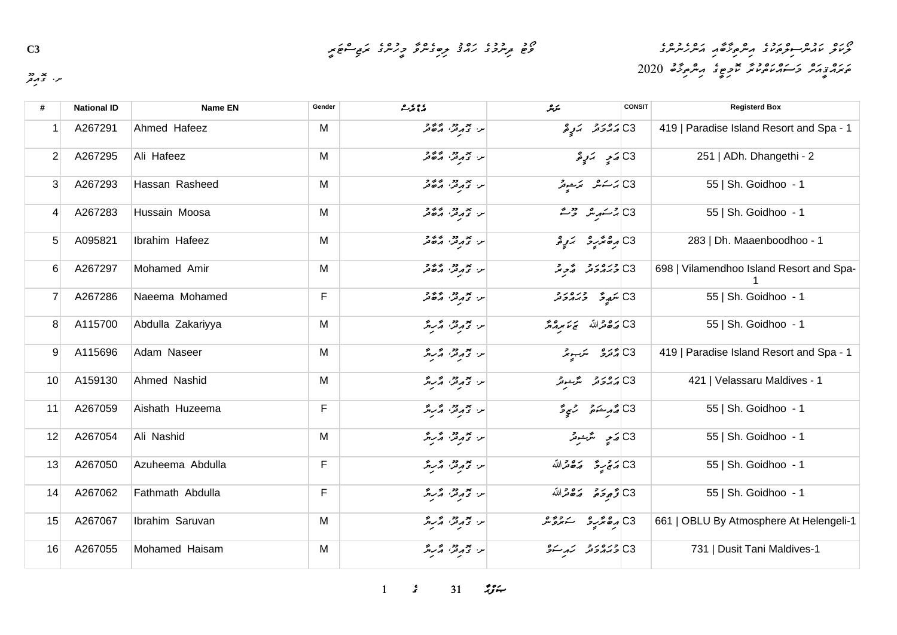*sCw7q7s5w7m< o<n9nOoAw7o< sCq;mAwBoEw7q<m; wBm;vB* م من المرة المرة المرة المرة المرة المرة العربية 2020<br>مجم*د المريض المريض المربع المربع المربع المراجع المراجع ال* 

| $\boldsymbol{\mathcal{P}}\times$ |  |
|----------------------------------|--|
| بر، ای مراجز                     |  |
|                                  |  |

| #              | <b>National ID</b> | Name EN           | Gender       | ړ؛ پرُ _             | سرير                                      | <b>CONSIT</b> | <b>Registerd Box</b>                     |
|----------------|--------------------|-------------------|--------------|----------------------|-------------------------------------------|---------------|------------------------------------------|
|                | A267291            | Ahmed Hafeez      | M            |                      | C3 <i>مەشكەتىلىر مەيدەت</i>               |               | 419   Paradise Island Resort and Spa - 1 |
| $\overline{2}$ | A267295            | Ali Hafeez        | M            | بن بوردو الأمراض     | C3 <i>ړنې برو چ</i>                       |               | 251   ADh. Dhangethi - 2                 |
| 3              | A267293            | Hassan Rasheed    | M            | بر مورد و و و        | C3   يَرْسَدْشْ - يَرْسُومْرُ             |               | 55   Sh. Goidhoo - 1                     |
| 4              | A267283            | Hussain Moosa     | M            | بر مورد و و د        | C3 برستمبر علم حيث من                     |               | 55   Sh. Goidhoo - 1                     |
| 5              | A095821            | Ibrahim Hafeez    | M            | ر مورد وه و          | C3 م <i>ەھترى</i> دۇ س <i>ەرپى</i>        |               | 283   Dh. Maaenboodhoo - 1               |
| $6 \mid$       | A267297            | Mohamed Amir      | M            | بر مورد و و و        | C3 <i>جەنگە جۇ مەجەن</i> گە               |               | 698   Vilamendhoo Island Resort and Spa- |
|                | A267286            | Naeema Mohamed    | $\mathsf F$  | س مورد وه د          | C3 سَمِيرٌ حَمْدَ <i>حدود</i>             |               | 55   Sh. Goidhoo - 1                     |
| 8              | A115700            | Abdulla Zakariyya | M            | من محمد قراء الأربار | C3 مَەھىراللە ئ <i>ے ئەم</i> بەر          |               | 55   Sh. Goidhoo - 1                     |
| 9              | A115696            | Adam Naseer       | M            | س محمد فراه المرسر   | C3 <i>مُحَمَّد مَن</i> سِيمُ              |               | 419   Paradise Island Resort and Spa - 1 |
| 10             | A159130            | Ahmed Nashid      | M            | موسيقى مارس          | C3 كەبرى قىر سىر ئىشى قىر                 |               | 421   Velassaru Maldives - 1             |
| 11             | A267059            | Aishath Huzeema   | F            | س محمد فرح المرسر    | C3 مەم شىم ئىسى ئى                        |               | 55   Sh. Goidhoo - 1                     |
| 12             | A267054            | Ali Nashid        | M            | یں محمد فقر محر مر   | C3 كەمچە گرىشون <i>گ</i> ر                |               | 55   Sh. Goidhoo - 1                     |
| 13             | A267050            | Azuheema Abdulla  | $\mathsf{F}$ | س ئەرقىي ئەرىگە      | C3 مَتَّحْرِ حَمَّدَ مَتَّالِلَّهُ        |               | 55   Sh. Goidhoo - 1                     |
| 14             | A267062            | Fathmath Abdulla  | F            | من محمد قديم الأرباط | C3 تُرجوحَمُ صَ <del>مَّ</del> صَدَاللَّه |               | 55   Sh. Goidhoo - 1                     |
| 15             | A267067            | Ibrahim Saruvan   | M            | بر محمد قريم مرسر    | C3 مەھە <i>ئرى</i> ئىكر <i>ۇ</i> ش        |               | 661   OBLU By Atmosphere At Helengeli-1  |
| 16             | A267055            | Mohamed Haisam    | M            | س توریق ارگرامگر     | $5 - 72$ $5 - 72$                         |               | 731   Dusit Tani Maldives-1              |

*1 s* 31 *i*<sub>s</sub>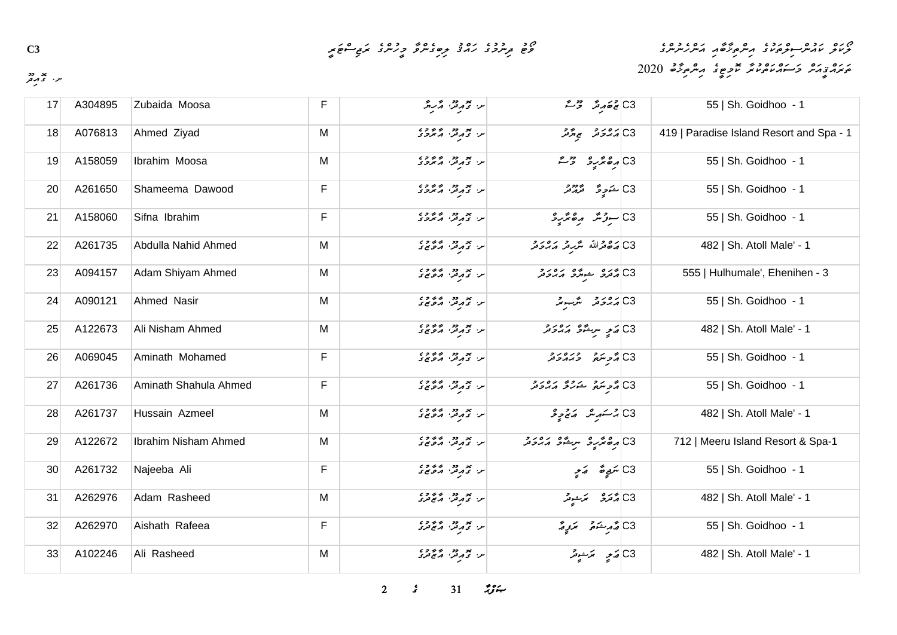*sCw7q7s5w7m< o<n9nOoAw7o< sCq;mAwBoEw7q<m; wBm;vB* م من المرة المرة المرة المرجع المرجع في المركبة 2020<br>مجم*د المريض المربوط المربع المرجع في المراجع المركبة* 

| 17 | A304895 | Zubaida Moosa         | F            | برا مجموفة الأرامة                                                                                                                                                                                                                                                                                                             | $23$ $-3$ $-62$ $-3$                                                            | 55   Sh. Goidhoo - 1                     |
|----|---------|-----------------------|--------------|--------------------------------------------------------------------------------------------------------------------------------------------------------------------------------------------------------------------------------------------------------------------------------------------------------------------------------|---------------------------------------------------------------------------------|------------------------------------------|
| 18 | A076813 | Ahmed Ziyad           | M            | بن المجموحة المجالون                                                                                                                                                                                                                                                                                                           | C3 <i>مەمەدىر</i> بېرىمى                                                        | 419   Paradise Island Resort and Spa - 1 |
| 19 | A158059 | Ibrahim Moosa         | M            | بر موجود المجموع                                                                                                                                                                                                                                                                                                               | $\mathcal{L}$ , $\mathcal{L}$ , $\mathcal{L}$ , $\mathcal{L}$ , $\mathcal{L}$ 3 | 55   Sh. Goidhoo - 1                     |
| 20 | A261650 | Shameema Dawood       | $\mathsf F$  | بر معروض المعروف                                                                                                                                                                                                                                                                                                               | C3 خوځ م <i>زود</i>                                                             | 55   Sh. Goidhoo - 1                     |
| 21 | A158060 | Sifna Ibrahim         | F            | بر موجود المجموع                                                                                                                                                                                                                                                                                                               | C3 سوزىئر ب <i>رە ئ</i> رىرى                                                    | 55   Sh. Goidhoo - 1                     |
| 22 | A261735 | Abdulla Nahid Ahmed   | M            | $\begin{pmatrix} 1 & 1 & 1 & 1 \\ 1 & 1 & 1 & 1 \\ 1 & 1 & 1 & 1 \\ 1 & 1 & 1 & 1 \\ 1 & 1 & 1 & 1 \\ 1 & 1 & 1 & 1 \\ 1 & 1 & 1 & 1 \\ 1 & 1 & 1 & 1 \\ 1 & 1 & 1 & 1 \\ 1 & 1 & 1 & 1 \\ 1 & 1 & 1 & 1 \\ 1 & 1 & 1 & 1 \\ 1 & 1 & 1 & 1 \\ 1 & 1 & 1 & 1 & 1 \\ 1 & 1 & 1 & 1 & 1 \\ 1 & 1 & 1 & 1 & 1 \\ 1 & 1 & 1 & 1 & $ | C3 مَەھْتَراللە مَدَبِقْهِ مَدَوَمَّد                                           | 482   Sh. Atoll Male' - 1                |
| 23 | A094157 | Adam Shiyam Ahmed     | M            | $\begin{pmatrix} 1 & 1 & 1 & 1 \\ 1 & 1 & 1 & 1 \\ 1 & 1 & 1 & 1 \\ 1 & 1 & 1 & 1 \\ 1 & 1 & 1 & 1 \\ 1 & 1 & 1 & 1 \\ 1 & 1 & 1 & 1 \\ 1 & 1 & 1 & 1 \\ 1 & 1 & 1 & 1 \\ 1 & 1 & 1 & 1 \\ 1 & 1 & 1 & 1 \\ 1 & 1 & 1 & 1 \\ 1 & 1 & 1 & 1 \\ 1 & 1 & 1 & 1 & 1 \\ 1 & 1 & 1 & 1 & 1 \\ 1 & 1 & 1 & 1 & 1 \\ 1 & 1 & 1 & 1 & $ | C3 كەتىرى مەمرە <i>مەدە</i> تر                                                  | 555   Hulhumale', Ehenihen - 3           |
| 24 | A090121 | Ahmed Nasir           | M            | $\begin{pmatrix} 1 & 1 & 1 & 1 \\ 1 & 1 & 1 & 1 \\ 1 & 1 & 1 & 1 \\ 1 & 1 & 1 & 1 \\ 1 & 1 & 1 & 1 \\ 1 & 1 & 1 & 1 \\ 1 & 1 & 1 & 1 \\ 1 & 1 & 1 & 1 \\ 1 & 1 & 1 & 1 \\ 1 & 1 & 1 & 1 \\ 1 & 1 & 1 & 1 \\ 1 & 1 & 1 & 1 \\ 1 & 1 & 1 & 1 \\ 1 & 1 & 1 & 1 & 1 \\ 1 & 1 & 1 & 1 & 1 \\ 1 & 1 & 1 & 1 & 1 \\ 1 & 1 & 1 & 1 & $ | C3 <i>مەدەر مەينى</i> ر                                                         | 55   Sh. Goidhoo - 1                     |
| 25 | A122673 | Ali Nisham Ahmed      | M            | $\begin{pmatrix} 1 & 1 & 1 & 1 \\ 1 & 1 & 1 & 1 \\ 1 & 1 & 1 & 1 \\ 1 & 1 & 1 & 1 \\ 1 & 1 & 1 & 1 \\ 1 & 1 & 1 & 1 \\ 1 & 1 & 1 & 1 \\ 1 & 1 & 1 & 1 \\ 1 & 1 & 1 & 1 \\ 1 & 1 & 1 & 1 \\ 1 & 1 & 1 & 1 \\ 1 & 1 & 1 & 1 \\ 1 & 1 & 1 & 1 \\ 1 & 1 & 1 & 1 & 1 \\ 1 & 1 & 1 & 1 & 1 \\ 1 & 1 & 1 & 1 & 1 \\ 1 & 1 & 1 & 1 & $ | C3 كەبى سرىشى كەبرى <i>دە</i> ر ج                                               | 482   Sh. Atoll Male' - 1                |
| 26 | A069045 | Aminath Mohamed       | $\mathsf{F}$ | <br>  س تحمد ترجم محموم                                                                                                                                                                                                                                                                                                        | C3 مُحرِسَمَ حَمَدَ مَعَ                                                        | 55   Sh. Goidhoo - 1                     |
| 27 | A261736 | Aminath Shahula Ahmed | $\mathsf F$  | $\begin{pmatrix} 1 & 1 & 1 & 1 \\ 1 & 1 & 1 & 1 \\ 1 & 1 & 1 & 1 \\ 1 & 1 & 1 & 1 \end{pmatrix}$                                                                                                                                                                                                                               | C3 مُجرِسَمَ شَرْكَةَ مَ <sup>رو</sup> َدَة                                     | 55   Sh. Goidhoo - 1                     |
| 28 | A261737 | Hussain Azmeel        | M            | بن می در از ده ده                                                                                                                                                                                                                                                                                                              | C3 يُرْسَمب <sup>9</sup> مَدَيْنَ حِي                                           | 482   Sh. Atoll Male' - 1                |
| 29 | A122672 | Ibrahim Nisham Ahmed  | M            | $\begin{pmatrix} 1 & 1 & 1 & 1 \\ 1 & 1 & 1 & 1 \\ 1 & 1 & 1 & 1 \\ 1 & 1 & 1 & 1 \\ 1 & 1 & 1 & 1 \\ 1 & 1 & 1 & 1 \\ 1 & 1 & 1 & 1 \\ 1 & 1 & 1 & 1 \\ 1 & 1 & 1 & 1 \\ 1 & 1 & 1 & 1 \\ 1 & 1 & 1 & 1 \\ 1 & 1 & 1 & 1 \\ 1 & 1 & 1 & 1 \\ 1 & 1 & 1 & 1 & 1 \\ 1 & 1 & 1 & 1 & 1 \\ 1 & 1 & 1 & 1 & 1 \\ 1 & 1 & 1 & 1 & $ | C3 مۇھۇر ئەس ئەمەدەر دەرد                                                       | 712   Meeru Island Resort & Spa-1        |
| 30 | A261732 | Najeeba Ali           | F            | $\begin{pmatrix} 1 & 1 & 1 & 1 \\ 1 & 1 & 1 & 1 \\ 1 & 1 & 1 & 1 \\ 1 & 1 & 1 & 1 \\ 1 & 1 & 1 & 1 \\ 1 & 1 & 1 & 1 \\ 1 & 1 & 1 & 1 \\ 1 & 1 & 1 & 1 \\ 1 & 1 & 1 & 1 \\ 1 & 1 & 1 & 1 \\ 1 & 1 & 1 & 1 \\ 1 & 1 & 1 & 1 \\ 1 & 1 & 1 & 1 \\ 1 & 1 & 1 & 1 & 1 \\ 1 & 1 & 1 & 1 & 1 \\ 1 & 1 & 1 & 1 & 1 \\ 1 & 1 & 1 & 1 & $ | C3 سَمِعٍ صَ <sup>ّ</sup> حٍ مَد <i>َمٍ</i>                                     | 55   Sh. Goidhoo - 1                     |
| 31 | A262976 | Adam Rasheed          | M            | بن می دوم از می تری                                                                                                                                                                                                                                                                                                            | C3 مُحَمَّدٌ مَمَسْوِمْرٌ                                                       | 482   Sh. Atoll Male' - 1                |
| 32 | A262970 | Aishath Rafeea        | $\mathsf F$  | بر معروض المتجافرى                                                                                                                                                                                                                                                                                                             | C3 م <i>ۇم شۇمۇ</i> ب <i>روم</i> ۇ                                              | 55   Sh. Goidhoo - 1                     |
| 33 | A102246 | Ali Rasheed           | M            |                                                                                                                                                                                                                                                                                                                                | C3 <i>مَيْ بَرَحْيِنْدُ</i>                                                     | 482   Sh. Atoll Male' - 1                |

*2 sC 31 nNw?mS*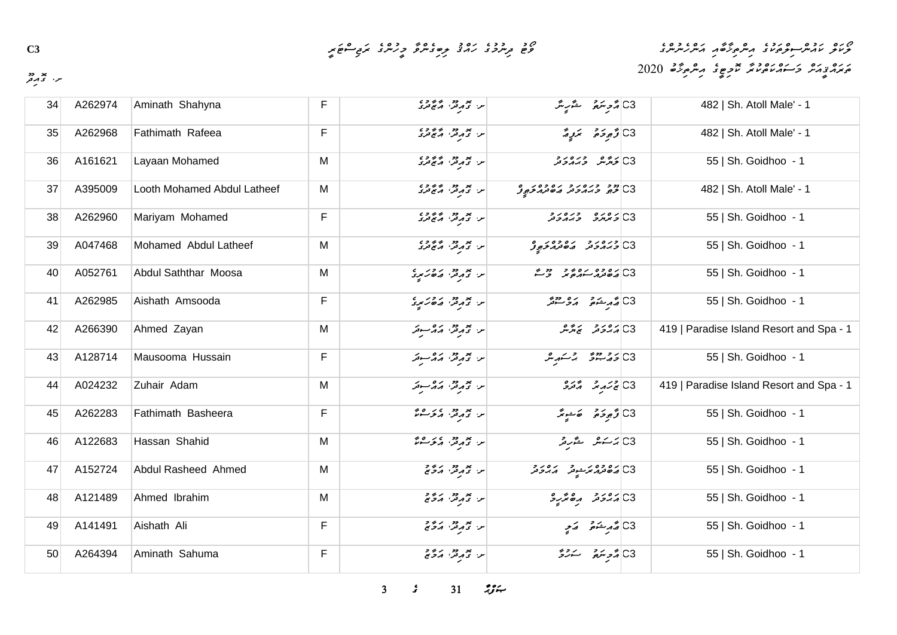*sCw7q7s5w7m< o<n9nOoAw7o< sCq;mAwBoEw7q<m; wBm;vB* م من المرة المرة المرة المرجع المرجع في المركبة 2020<br>مجم*د المريض المربوط المربع المرجع في المراجع المركبة* 

| 34 | A262974 | Aminath Shahyna             | F            | بر می در از ده و د                      | C3 مُ <i>جِسَمُ</i> مُشَرِسُرٌ                                | 482   Sh. Atoll Male' - 1                |
|----|---------|-----------------------------|--------------|-----------------------------------------|---------------------------------------------------------------|------------------------------------------|
| 35 | A262968 | Fathimath Rafeea            | F            | بر میں بھی تھی ہے جو م                  | C3 وَّجِ حَقَّ سَمَوٍ مَّ                                     | 482   Sh. Atoll Male' - 1                |
| 36 | A161621 | Layaan Mohamed              | M            | بر میں بھی تھی ہے جو م                  | C3 ئۇن <i>ۇش دېرەر د</i>                                      | 55   Sh. Goidhoo - 1                     |
| 37 | A395009 | Looth Mohamed Abdul Latheef | M            | بر مورد و و و و و و                     | C3 يوم وره رو رو وه ره وه                                     | 482   Sh. Atoll Male' - 1                |
| 38 | A262960 | Mariyam Mohamed             | $\mathsf{F}$ | س موجود المتحاوري<br>س و مرفر المتحافري | C3 كەشرىق مەدەبرە                                             | 55   Sh. Goidhoo - 1                     |
| 39 | A047468 | Mohamed Abdul Latheef       | M            | بر میں بھی تھی ہے جو م                  | C3 32022 2023 C3                                              | 55   Sh. Goidhoo - 1                     |
| 40 | A052761 | Abdul Saththar Moosa        | M            | بر الدور الأوران                        |                                                               | 55   Sh. Goidhoo - 1                     |
| 41 | A262985 | Aishath Amsooda             | $\mathsf{F}$ | المزاح ووارد والمحرج                    | C3 مەم ئىكى مەكرىسىتىر                                        | 55   Sh. Goidhoo - 1                     |
| 42 | A266390 | Ahmed Zayan                 | M            | یں نمبر وہ کہ کہ سوفر                   | C3 <i>مەدە</i> ر ئەممەر                                       | 419   Paradise Island Resort and Spa - 1 |
| 43 | A128714 | Mausooma Hussain            | F            | الرا المجروح المركز السوفكر             | C3 <i>خەشىنىڭ بى</i> شىرىش                                    | 55   Sh. Goidhoo - 1                     |
| 44 | A024232 | Zuhair Adam                 | M            | من المحمد حرف المركز المستخر            | $5.5$ $\frac{2}{3}$ $\frac{2}{3}$ $\frac{2}{3}$ $\frac{2}{3}$ | 419   Paradise Island Resort and Spa - 1 |
| 45 | A262283 | Fathimath Basheera          | $\mathsf{F}$ | برز محمد فلم المتحر مثلاثة              | C3 تُرجوحَ حَسْبِعٌر                                          | 55   Sh. Goidhoo - 1                     |
| 46 | A122683 | Hassan Shahid               | M            |                                         | C3 ئەسەنلەر مەش <i>ەر ق</i> ار                                | 55   Sh. Goidhoo - 1                     |
| 47 | A152724 | Abdul Rasheed Ahmed         | M            | ر به دور روم                            | C3 كەھەمگە ئىرىم كەندى تەرەپىر بەر ئىر                        | 55   Sh. Goidhoo - 1                     |
| 48 | A121489 | Ahmed Ibrahim               | M            | من محمد فرض الرحم و                     | C3 <i>مُحدَّد م</i> ِ <i>مُحَبِّدِ</i>                        | 55   Sh. Goidhoo - 1                     |
| 49 | A141491 | Aishath Ali                 | $\mathsf F$  | ر مودود برود                            | C3 م <i>ەم شەق مەي</i>                                        | 55   Sh. Goidhoo - 1                     |
| 50 | A264394 | Aminath Sahuma              | F            | ر به بروژه بروژه                        | C3 مُ <i>جِسَمُ</i> سَنَرْدُ                                  | 55   Sh. Goidhoo - 1                     |

**3 31** *ff***<sub>x</sub>** 

*ro x ...*<br>مر، ى <sub>ا</sub>ر تر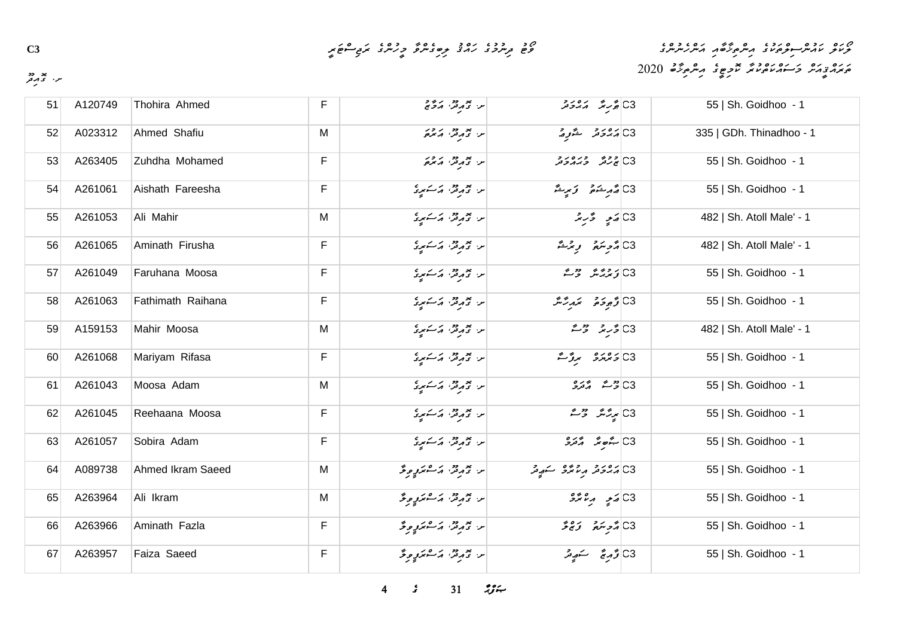*sCw7q7s5w7m< o<n9nOoAw7o< sCq;mAwBoEw7q<m; wBm;vB* م من المرة المرة المرة المرجع المرجع في المركبة 2020<br>مجم*د المريض المربوط المربع المرجع في المراجع المركبة* 

| 51 | A120749 | Thohira Ahmed     | $\mathsf F$  | ر به بروژه بروژه                                                                                    | C3 ې <i>ۋېدىگە</i> مەبرى <i>جى</i> ر                     | 55   Sh. Goidhoo - 1      |
|----|---------|-------------------|--------------|-----------------------------------------------------------------------------------------------------|----------------------------------------------------------|---------------------------|
| 52 | A023312 | Ahmed Shafiu      | M            | برا مجموفة المرحرم                                                                                  | C3 <i>مەشىقىلى</i> ھەر <i>مى</i>                         | 335   GDh. Thinadhoo - 1  |
| 53 | A263405 | Zuhdha Mohamed    | $\mathsf F$  | بر المجموعة المرحمة                                                                                 | C3 جي حيد وروبر<br>C3 جي حيد حيد حيد                     | 55   Sh. Goidhoo - 1      |
| 54 | A261061 | Aishath Fareesha  | F            |                                                                                                     | C3 م <i>ۇم شەھ ق</i> ويمىش                               | 55   Sh. Goidhoo - 1      |
| 55 | A261053 | Ali Mahir         | M            | یں نخارتی کے سکھری                                                                                  | C3 <i>ټرې</i> د څرينه                                    | 482   Sh. Atoll Male' - 1 |
| 56 | A261065 | Aminath Firusha   | F            | برا الجرود كاسكيرى                                                                                  | C3 مُرْحِسَمُ وِيُرْتُمْ                                 | 482   Sh. Atoll Male' - 1 |
| 57 | A261049 | Faruhana Moosa    | F            | الراسخ مرفق المرسكيونى                                                                              | C3 وَتَحَدِّثَتْهُ حَرْسَةُ                              | 55   Sh. Goidhoo - 1      |
| 58 | A261063 | Fathimath Raihana | $\mathsf F$  |                                                                                                     | C3 <i>وَّجوحَمْ بَرَمْ شَرَّ</i>                         | 55   Sh. Goidhoo - 1      |
| 59 | A159153 | Mahir Moosa       | M            | اللاستخار فينجم وكالسكيرى                                                                           | C3 دېمبر ح <sup>م</sup> ش                                | 482   Sh. Atoll Male' - 1 |
| 60 | A261068 | Mariyam Rifasa    | $\mathsf{F}$ | من المجموعة المركب المجموعة                                                                         | C3 كەممەر ئەرگە ئىس                                      | 55   Sh. Goidhoo - 1      |
| 61 | A261043 | Moosa Adam        | M            | الراسخ مرفق المرسكيونى                                                                              | C3 وَسَدَّ مُحْمَدَةِ                                    | 55   Sh. Goidhoo - 1      |
| 62 | A261045 | Reehaana Moosa    | F            | ىن ئەمەتىرى كەسكەنچەى                                                                               | C3 بررممبر مع شهر<br>استان مراسط                         | 55   Sh. Goidhoo - 1      |
| 63 | A261057 | Sobira Adam       | F            | بر الله الله الله الله عليه الله الله الله الله عليه الله الله الله عليه الله الله الله الله الله ا |                                                          | 55   Sh. Goidhoo - 1      |
| 64 | A089738 | Ahmed Ikram Saeed | M            | من توريق كاستمر و مركز و مركز                                                                       | C3 <i>גُمْدُوَنْدِ مِ</i> مُعَهُّرَ سَمِي <sup>و</sup> َ | 55   Sh. Goidhoo - 1      |
| 65 | A263964 | Ali Ikram         | M            | ىر. ئەرتى، مەسىر يومۇ                                                                               | C3 <i>مَج م</i> ِعْقَر                                   | 55   Sh. Goidhoo - 1      |
| 66 | A263966 | Aminath Fazla     | $\mathsf F$  | بر بيروژ، برگستروپوش                                                                                | C3 م <i>ۇجەتتى ۋچۇ</i>                                   | 55   Sh. Goidhoo - 1      |
| 67 | A263957 | Faiza Saeed       | F            | ىر، ئۇنىڭ، ئاسلىمكومۇنى                                                                             | C3 تۇم <i>بىغ</i> سىمپىتر                                | 55   Sh. Goidhoo - 1      |

*4 sC 31 nNw?mS*

*ro x ...*<br>مر، ى <sub>ا</sub>ر تر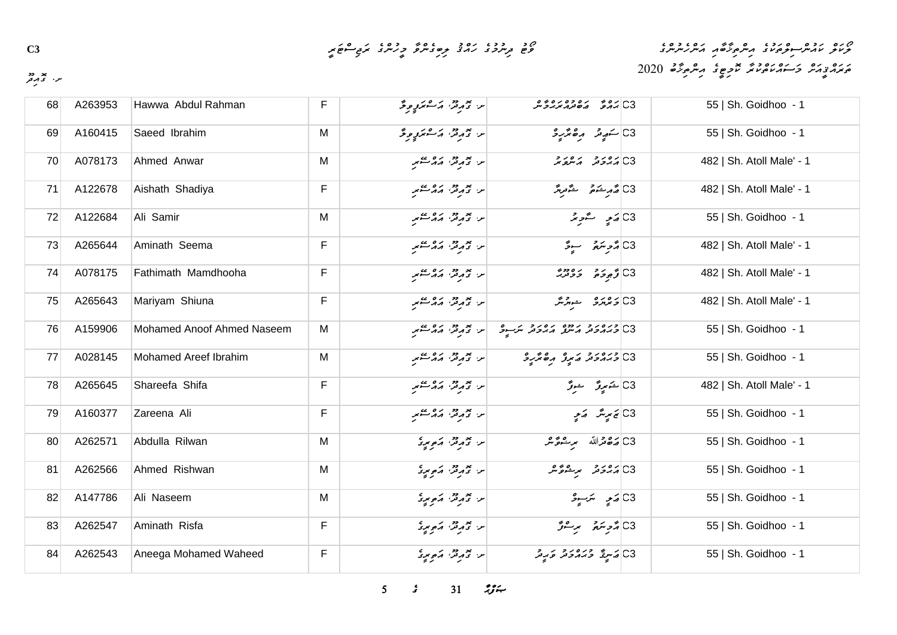*sCw7q7s5w7m< o<n9nOoAw7o< sCq;mAwBoEw7q<m; wBm;vB* م من المرة المرة المرة المرجع المرجع في المركبة 2020<br>مجم*د المريض المربوط المربع المرجع في المراجع المركبة* 

| 68 | A263953 | Hawwa Abdul Rahman         | $\mathsf F$ | ىر. ئۇمەنتر، مەسىمروپەنگە                                                                                      | C3 גמי גפיכס גם כם                               | 55   Sh. Goidhoo - 1      |
|----|---------|----------------------------|-------------|----------------------------------------------------------------------------------------------------------------|--------------------------------------------------|---------------------------|
| 69 | A160415 | Saeed Ibrahim              | M           | ىر. ئەرىش كەسىمكومۇ                                                                                            | $\mathcal{E}$ جەمپەتر مەھەتگە يە $\mathcal{E}$ 3 | 55   Sh. Goidhoo - 1      |
| 70 | A078173 | Ahmed Anwar                | M           | الرسمي المجر والمرور المقامي                                                                                   | C3 2222 2222                                     | 482   Sh. Atoll Male' - 1 |
| 71 | A122678 | Aishath Shadiya            | $\mathsf F$ | المواسم المحمد والمحمد المستحمر                                                                                | C3 م <i>ەم بەشقى ھەمبەرگە</i>                    | 482   Sh. Atoll Male' - 1 |
| 72 | A122684 | Ali Samir                  | M           | المواسم المحمد والمحمد المستحمر                                                                                | C3 کړې گ <sub>ی</sub> ږيز                        | 55   Sh. Goidhoo - 1      |
| 73 | A265644 | Aminath Seema              | $\mathsf F$ | س به دو ده به سومر                                                                                             | C3 مُرْحِبَتِهُ سِوَّةً                          | 482   Sh. Atoll Male' - 1 |
| 74 | A078175 | Fathimath Mamdhooha        | F           | س به دود برو به د                                                                                              | C3 تُرجوح حرم معرضة                              | 482   Sh. Atoll Male' - 1 |
| 75 | A265643 | Mariyam Shiuna             | $\mathsf F$ | بر به دو بره ده بر                                                                                             | C3 <i>وَمُحمدة</i> مُصِ <i>مَّرٌ</i>             | 482   Sh. Atoll Male' - 1 |
| 76 | A159906 | Mohamed Anoof Ahmed Naseem | M           |                                                                                                                |                                                  | 55   Sh. Goidhoo - 1      |
| 77 | A028145 | Mohamed Areef Ibrahim      | M           | بر به دور ماه مه به                                                                                            | C3 درور د برو مقتربة                             | 55   Sh. Goidhoo - 1      |
| 78 | A265645 | Shareefa Shifa             | F           | بن المحرور المالات على المحد المحدد المحدد المحدد المحدد المحدد المحدد المحدد المحدد المحدد المحدد المحدد المح | C3 ڪمپر <i>ڙ</i> ھوڙ                             | 482   Sh. Atoll Male' - 1 |
| 79 | A160377 | Zareena Ali                | F           | الرسمي المجر والمرور المتعمر                                                                                   | C3 نج سپٽر ڪ <sub>چ</sub>                        | 55   Sh. Goidhoo - 1      |
| 80 | A262571 | Abdulla Rilwan             | M           | س می دود.<br>من از مرفتر از مرکزی                                                                              | C3 مَەھقراللە مرشو <i>مَّة م</i>                 | 55   Sh. Goidhoo - 1      |
| 81 | A262566 | Ahmed Rishwan              | M           | س تحميض مصري                                                                                                   | C3 <i>مُحدَّد بِرِحْمُوَّسَ</i>                  | 55   Sh. Goidhoo - 1      |
| 82 | A147786 | Ali Naseem                 | M           | س محمد فران مرکم مرکز                                                                                          | C3 <i>ھَ۔ جِ</i> سَرَسِوڤ                        | 55   Sh. Goidhoo - 1      |
| 83 | A262547 | Aminath Risfa              | F           | بر نورود رکوبری                                                                                                | C3 مُ <i>جِي سَمْعَ</i> مِ سِنْتَرَ              | 55   Sh. Goidhoo - 1      |
| 84 | A262543 | Aneega Mohamed Waheed      | F           | بن محمد فرص مكرم مردمي                                                                                         | C3 كەسرىگە <i>مەدەھەر كەب</i> ەتر                | 55   Sh. Goidhoo - 1      |

 $5$   $5$   $31$   $79$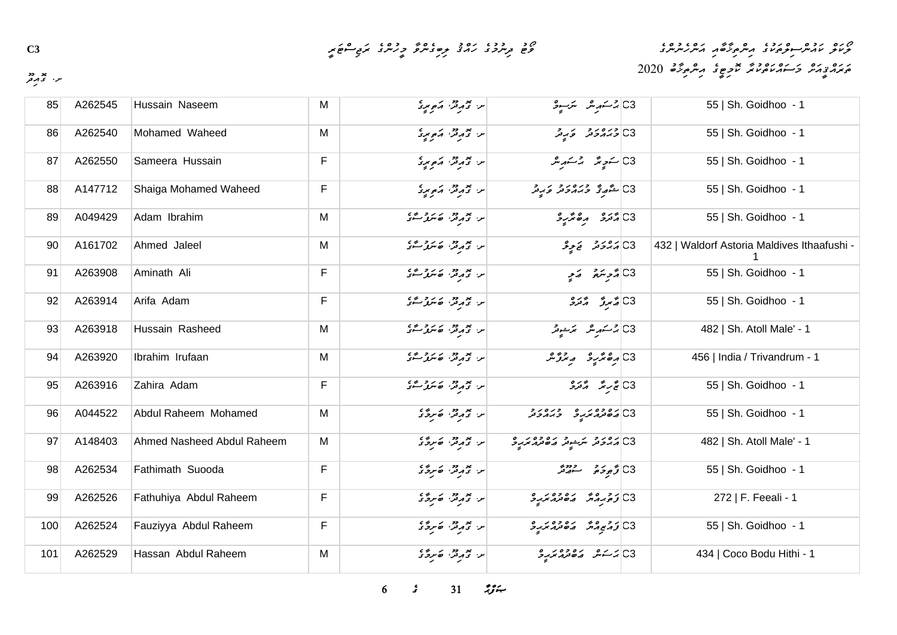*sCw7q7s5w7m< o<n9nOoAw7o< sCq;mAwBoEw7q<m; wBm;vB* م من المرة المرة المرة المرجع المرجع في المركبة 2020<br>مجم*د المريض المربوط المربع المرجع في المراجع المركبة* 

| 85  | A262545 | Hussain Naseem             | M            | س توریش رکھ ہوتا                                                                                      | C3  يُرْسَمَ مِيْنَ مَدَسِيطِ C3       | 55   Sh. Goidhoo - 1                        |
|-----|---------|----------------------------|--------------|-------------------------------------------------------------------------------------------------------|----------------------------------------|---------------------------------------------|
| 86  | A262540 | Mohamed Waheed             | M            | بر به نوروژ، رکه برند                                                                                 | C3 <i>وُبَهُمُوَبِّرٍ وَبِ</i> يْرِ    | 55   Sh. Goidhoo - 1                        |
| 87  | A262550 | Sameera Hussain            | F            | من المجموعي المجموعية المجموعية المجموعية المجموعية المجموعية المجموعية المجموعية المجموعية المجموعية | C3 س <i>نوپر بر شهر</i> یر             | 55   Sh. Goidhoo - 1                        |
| 88  | A147712 | Shaiga Mohamed Waheed      | $\mathsf F$  | من المجموعي المجموعي المجموعي                                                                         | C3 خَمْصِرَّ وَيَرْمُ وَيَرِ وَيَرِ وَ | 55   Sh. Goidhoo - 1                        |
| 89  | A049429 | Adam Ibrahim               | M            | بر الله دو الله دره دارد.<br>براس المرور الله کامل کرد و دارد                                         | C3 مُقرَّد مِنْ مُحَمَّدٍ فِي          | 55   Sh. Goidhoo - 1                        |
| 90  | A161702 | Ahmed Jaleel               | M            | پر اوږ کامره د ده د                                                                                   | C3 <i>مُدْدَوْرٌ ف</i> َجِعْ           | 432   Waldorf Astoria Maldives Ithaafushi - |
| 91  | A263908 | Aminath Ali                | $\mathsf F$  | بر به دو بر دو ده با                                                                                  | C3 <i>مُجْرِسَةُ مَيْرِ</i>            | 55   Sh. Goidhoo - 1                        |
| 92  | A263914 | Arifa Adam                 | $\mathsf{F}$ | پر اپروژ، کامبرو دی                                                                                   | C3 مُحْمِرَّةً مُحْمَدَةً              | 55   Sh. Goidhoo - 1                        |
| 93  | A263918 | Hussain Rasheed            | M            | در این در های در کاری                                                                                 | C3 ترىسكىرىش ئىزىيەتر                  | 482   Sh. Atoll Male' - 1                   |
| 94  | A263920 | Ibrahim Irufaan            | M            | پر په دو که کلو کلو کلو                                                                               | C3 مەھە <i>ئەب</i> ھەمەر مى            | 456   India / Trivandrum - 1                |
| 95  | A263916 | Zahira Adam                | F            | بر بودد مسروره به                                                                                     | C3 تج بەتتە ئەتەرقە                    | 55   Sh. Goidhoo - 1                        |
| 96  | A044522 | Abdul Raheem Mohamed       | M            | بر مورده کارون                                                                                        | C3 בסינת בנים פינה כי                  | 55   Sh. Goidhoo - 1                        |
| 97  | A148403 | Ahmed Nasheed Abdul Raheem | M            | الراسم وحما كالرومى                                                                                   | C3 كەمەد تىر سىيەتى مەھەر <i>مەيد</i>  | 482   Sh. Atoll Male' - 1                   |
| 98  | A262534 | Fathimath Suooda           | $\mathsf F$  | من المجموعين الصبورة كا                                                                               | C3 <i>وُجوح</i> و مسمور                | 55   Sh. Goidhoo - 1                        |
| 99  | A262526 | Fathuhiya Abdul Raheem     | $\mathsf F$  | من محمد قرق كامبردمج كى                                                                               | 2, 22, 8, 7, 8, 2, 1                   | 272   F. Feeali - 1                         |
| 100 | A262524 | Fauziyya Abdul Raheem      | $\mathsf F$  | مز المجموعي الصريح كى                                                                                 | C3 <i>נה אית הסינה א</i> לב            | 55   Sh. Goidhoo - 1                        |
| 101 | A262529 | Hassan Abdul Raheem        | M            | من محمد فرانس صرح مح                                                                                  | C3 ئەسەمىر مەھ <i>ەرمەي</i> ر          | 434   Coco Bodu Hithi - 1                   |

 $6$   $31$   $29$ 

*ro x ...*<br>مر، ى <sub>ا</sub>ر تر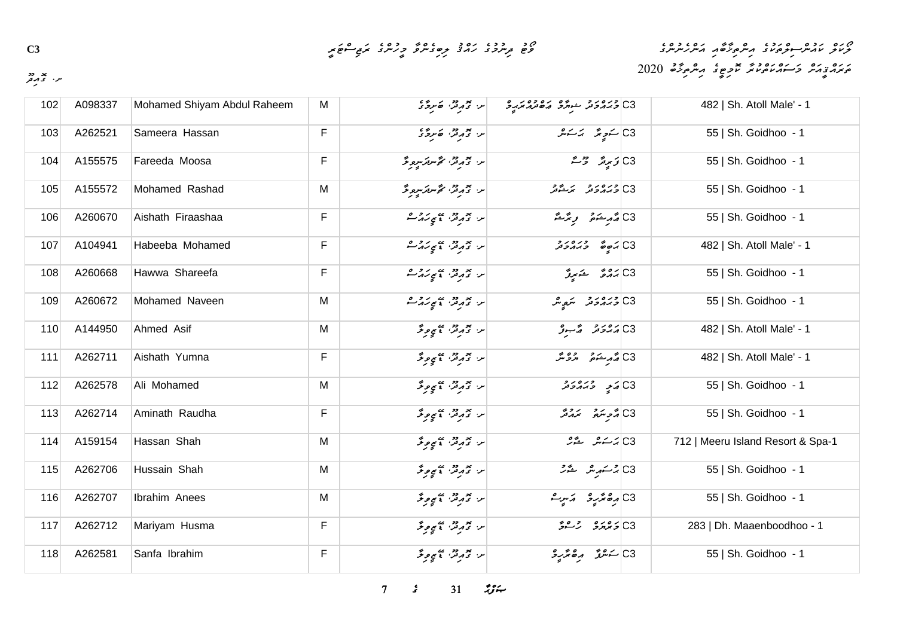*sCw7q7s5w7m< o<n9nOoAw7o< sCq;mAwBoEw7q<m; wBm;vB* م من المرة المرة المرة المرجع المرجع في المركبة 2020<br>مجم*د المريض المربوط المربع المرجع في المراجع المركبة* 

| 102 | A098337 | Mohamed Shiyam Abdul Raheem | M            | ا در محمد ترکی که مورد ک                         |                                 | 482   Sh. Atoll Male' - 1         |
|-----|---------|-----------------------------|--------------|--------------------------------------------------|---------------------------------|-----------------------------------|
| 103 | A262521 | Sameera Hassan              | $\mathsf F$  | الراسم وفرق كالردعى                              | C3 س <i>نوپۇ بىسى</i> ھ         | 55   Sh. Goidhoo - 1              |
| 104 | A155575 | Fareeda Moosa               | $\mathsf{F}$ | ىن ئەرتۇ، ئۇسترسىدۇ.                             | C3 كۈمونى <i>گە</i> تۇسىگە      | 55   Sh. Goidhoo - 1              |
| 105 | A155572 | Mohamed Rashad              | M            | س محمدتى محمد ترسمه و محمد                       | C3 <i>وبروبو برخو</i> تر        | 55   Sh. Goidhoo - 1              |
| 106 | A260670 | Aishath Firaashaa           | $\mathsf{F}$ | بر نورود ، ناسی کروه                             | C3 ئۇم شەھر بويتىشقە            | 55   Sh. Goidhoo - 1              |
| 107 | A104941 | Habeeba Mohamed             | $\mathsf{F}$ | الله المجر وه المالي مركز الم                    |                                 | 482   Sh. Atoll Male' - 1         |
| 108 | A260668 | Hawwa Shareefa              | $\mathsf{F}$ | الله المجر وه المالي مركز الم                    | C3 <i>بَدْهُمَّ</i> شَعِيرً     | 55   Sh. Goidhoo - 1              |
| 109 | A260672 | Mohamed Naveen              | M            | سر سر دور به سر در ه<br>  سر سر دور، سمج سر در ه | C3 <i>وُبَهُ دُو دَ</i> سَمِوسُ | 55   Sh. Goidhoo - 1              |
| 110 | A144950 | Ahmed Asif                  | M            | بر بر دو به پروگر                                | C3 <i>مَدْدُوَنْ مُ</i> يَسِوْ  | 482   Sh. Atoll Male' - 1         |
| 111 | A262711 | Aishath Yumna               | $\mathsf{F}$ | بر بورو به پوځ                                   | C3 مەم شىقىمە مەركىگە           | 482   Sh. Atoll Male' - 1         |
| 112 | A262578 | Ali Mohamed                 | M            | بر نورو سي وگ                                    | C3 <i>مَجِ حَمَدُونَد</i>       | 55   Sh. Goidhoo - 1              |
| 113 | A262714 | Aminath Raudha              | F            | یں تحریق می ہوتی                                 | C3 مُجِسَعَة بَرْمَتْد          | 55   Sh. Goidhoo - 1              |
| 114 | A159154 | Hassan Shah                 | M            | بر نورو سي وگ                                    | C3 پرسترين مس <i>مبر</i> ح      | 712   Meeru Island Resort & Spa-1 |
| 115 | A262706 | Hussain Shah                | M            | بر بوړې ، بم پروگر                               | C3 برسک <i>مب</i> شرحہ شگر      | 55   Sh. Goidhoo - 1              |
| 116 | A262707 | Ibrahim Anees               | M            | بر نورود "نجور محمّ                              | C3 مەھەرىرى مەس <i>رى</i> شە    | 55   Sh. Goidhoo - 1              |
| 117 | A262712 | Mariyam Husma               | $\mathsf F$  | بر بوړې ، بم پروگر                               | $5 - 2$ $5 - 2$ $103$           | 283   Dh. Maaenboodhoo - 1        |
| 118 | A262581 | Sanfa Ibrahim               | $\mathsf F$  | لرا بيه ده به به به د گ                          | C3 سىستىر مەھەر يە              | 55   Sh. Goidhoo - 1              |

*7 sC 31 nNw?mS*

*ro x ...*<br>مر، ى <sub>ا</sub>ر تر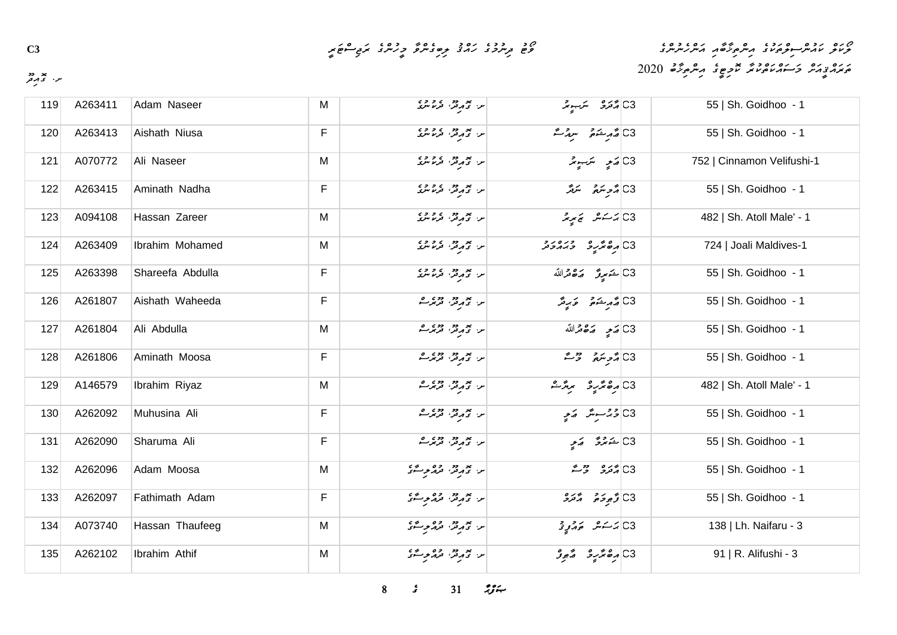*sCw7q7s5w7m< o<n9nOoAw7o< sCq;mAwBoEw7q<m; wBm;vB* م من المرة المرة المرة المرجع المرجع في المركبة 2020<br>مجم*د المريض المربوط المربع المرجع في المراجع المركبة* 

| 119 | A263411 | Adam Naseer      | M           | بر محمد حد محدود محمد المحمد المحمد المحمد المحمد المحمد المحمد المحمد المحمد المحمد المحمد المحمد المحمد المحمد | C3 أ <i>مُّ قرَّى مَدْ بِ</i> حِيْرِ                           | 55   Sh. Goidhoo - 1       |
|-----|---------|------------------|-------------|------------------------------------------------------------------------------------------------------------------|----------------------------------------------------------------|----------------------------|
| 120 | A263413 | Aishath Niusa    | F           | مر العراقص المحروري<br>مراجع المرحم العرب العربي                                                                 | C3 م <i>مْ مِيشَمْرِ</i> سِيمْتُ                               | 55   Sh. Goidhoo - 1       |
| 121 | A070772 | Ali Naseer       | M           | س بو دو د وده<br>س تاریخ در فرم سری                                                                              | C3 <i>مَ</i> حٍ سَرَجِيمٌ                                      | 752   Cinnamon Velifushi-1 |
| 122 | A263415 | Aminath Nadha    | $\mathsf F$ | س بو دو د ود د ود و                                                                                              | C3 مُرْحِ سَمَّعْ سَمَّدَّ                                     | 55   Sh. Goidhoo - 1       |
| 123 | A094108 | Hassan Zareer    | M           | بر محمد حد محدود محمد المحمد المحمد المحمد المحمد المحمد المحمد المحمد المحمد المحمد المحمد المحمد المحمد المحمد | C3  پرستمبر کا کامیریٹر                                        | 482   Sh. Atoll Male' - 1  |
| 124 | A263409 | Ibrahim Mohamed  | M           | موسوح المحرم مردم مردم المردم                                                                                    | C3 مەھگرى <sub>د</sub> و مەممەم                                | 724   Joali Maldives-1     |
| 125 | A263398 | Shareefa Abdulla | $\mathsf F$ | موسوح المحدوج المرحمة                                                                                            | C3 ڪمپ <i>وگر مُنڪفر</i> الله                                  | 55   Sh. Goidhoo - 1       |
| 126 | A261807 | Aishath Waheeda  | $\mathsf F$ | بر به ده دوی ه                                                                                                   | C3 م <i>ۇم شەق قېرىد</i> گ                                     | 55   Sh. Goidhoo - 1       |
| 127 | A261804 | Ali Abdulla      | M           | بر الله الله الله الله عن الله عن الله عن الله عن الله عن الله عن الله عن الله عن الله عن الله عن ال             | C3 <i>ھَ۔ ج</i> صَ <sup>ع</sup> داللّٰہ                        | 55   Sh. Goidhoo - 1       |
| 128 | A261806 | Aminath Moosa    | F           | یں اس کا ایک انداز کے بات کا انداز کے بات کے بات کے بات کے بات کے بات کے بات کے بات کے بات کے بات کے بات کے با   | $23$ $24$ $27$ $22$ $23$                                       | 55   Sh. Goidhoo - 1       |
| 129 | A146579 | Ibrahim Riyaz    | M           | بر نوروز ودی م                                                                                                   | C3 مەھە <i>تگەي</i> ھەمەتگە                                    | 482   Sh. Atoll Male' - 1  |
| 130 | A262092 | Muhusina Ali     | F           | بر به ده دوی ه                                                                                                   | C3 دچم شور میں تھا۔<br>ا                                       | 55   Sh. Goidhoo - 1       |
| 131 | A262090 | Sharuma Ali      | $\mathsf F$ | س تحمد بن تعریم ک                                                                                                | $\frac{1}{2}$ $\frac{2}{3}$ $\approx$ $\frac{1}{2}$ $\sqrt{3}$ | 55   Sh. Goidhoo - 1       |
| 132 | A262096 | Adam Moosa       | M           | بن بوردو وه وروم                                                                                                 | $23 - 322$ C3                                                  | 55   Sh. Goidhoo - 1       |
| 133 | A262097 | Fathimath Adam   | $\mathsf F$ | بر بوردو وه وروم                                                                                                 | C3 تُوحِمَّة مُعَرَّد                                          | 55   Sh. Goidhoo - 1       |
| 134 | A073740 | Hassan Thaufeeg  | M           | من المجموعة المعرض والمحمد المحمد المحمد المحمد المحمد المحمد المحمد المحمد المحمد المحمد المحمد ا               | C3 ئەسەمى <i>ر مۇمۇپى</i> قى                                   | 138   Lh. Naifaru - 3      |
| 135 | A262102 | Ibrahim Athif    | M           | ىن ئەرىپى ئەھرىسى                                                                                                | C3 مەھىمىيە ھەم <u>ور</u>                                      | 91   R. Alifushi - 3       |

**8** *s* **31** *n***<sub>y</sub> <b>***s*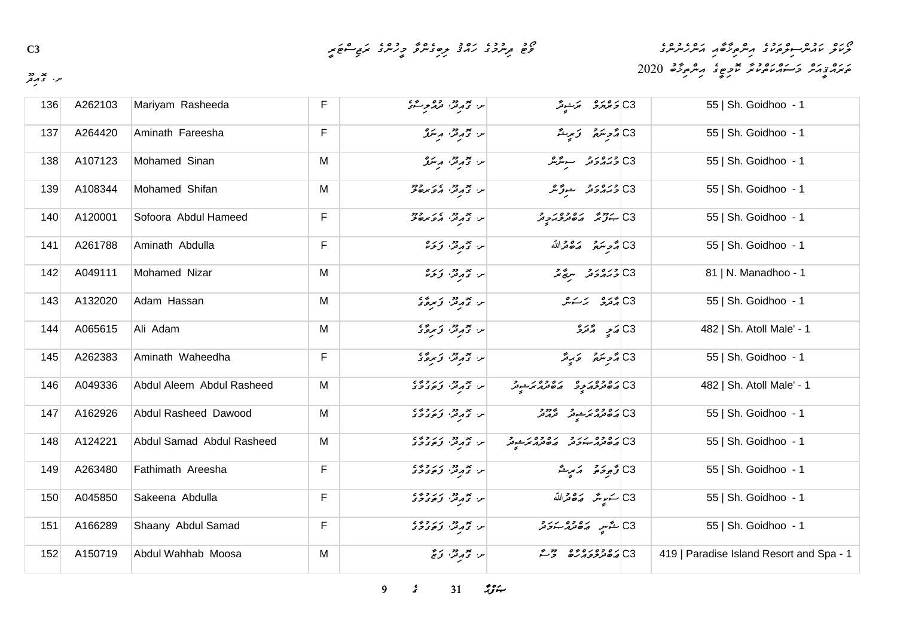*sCw7q7s5w7m< o<n9nOoAw7o< sCq;mAwBoEw7q<m; wBm;vB* م من المرة المرة المرة المرجع المرجع في المركبة 2020<br>مجم*د المريض المربوط المربع المرجع في المراجع المركبة* 

| 136 | A262103 | Mariyam Rasheeda          | $\mathsf{F}$ | ر به بروژ، ترور و شی                 | C3 <i>وَجُهْدُوْ</i> - مَرْشِ <sub>وِ</sub> مَّرُ | 55   Sh. Goidhoo - 1                     |
|-----|---------|---------------------------|--------------|--------------------------------------|---------------------------------------------------|------------------------------------------|
| 137 | A264420 | Aminath Fareesha          | F            | برا مجموفتن وبترقى                   | C3 مٌرجِسَمٌ وَمِرِحَّةٌ                          | 55   Sh. Goidhoo - 1                     |
| 138 | A107123 | Mohamed Sinan             | M            | برا مجموفتن المسترقى                 | C3 <i>دېره د</i> سرم <i>گ</i> ر                   | 55   Sh. Goidhoo - 1                     |
| 139 | A108344 | Mohamed Shifan            | M            | עי זה כך היו כבר                     | C3 <i>وُبَهُ دُونُ</i> سُورٌ مَ <i>رُ</i>         | 55   Sh. Goidhoo - 1                     |
| 140 | A120001 | Sofoora Abdul Hameed      | F            | ן יי זוני ובניתם ב                   | C3 جۇنئر مەھ <i>ىرى جەن</i> ر                     | 55   Sh. Goidhoo - 1                     |
| 141 | A261788 | Aminath Abdulla           | $\mathsf F$  | ر به بیروژه ترتزه                    | C3 مُجِسَعَة صَصْغَراللّه                         | 55   Sh. Goidhoo - 1                     |
| 142 | A049111 | Mohamed Nizar             | M            |                                      | C3 <i>وُبَهُ دو د</i> سِيَّ تَرُ                  | 81   N. Manadhoo - 1                     |
| 143 | A132020 | Adam Hassan               | M            | بر العمادين المحاسوري                | C3 كەنى <i>زى ئەسكىل</i> ر                        | 55   Sh. Goidhoo - 1                     |
| 144 | A065615 | Ali Adam                  | M            | ىن ئۇمەتتر، ئۇمرەتمى                 | C3 <i>مَجِ مَّ</i> قَرَ                           | 482   Sh. Atoll Male' - 1                |
| 145 | A262383 | Aminath Waheedha          | $\mathsf F$  | بر بيروژ، وَبروٌی                    | C3 مُتَّحِسَّعَةُ عَبِيقًا                        | 55   Sh. Goidhoo - 1                     |
| 146 | A049336 | Abdul Aleem Abdul Rasheed | M            | 5355, 355                            | C3 رە دەر دەر دە دەر دەر                          | 482   Sh. Atoll Male' - 1                |
| 147 | A162926 | Abdul Rasheed Dawood      | M            | من المرد المرد و دار و دار و دار م   | C3 <i>مُرەفوه بُرْ</i> شونر ن <i>ورو د</i>        | 55   Sh. Goidhoo - 1                     |
| 148 | A124221 | Abdul Samad Abdul Rasheed | M            | مز دو بردون<br>  مز تحادثر کی محدودی | C3 ره وه در د ده وه در دور                        | 55   Sh. Goidhoo - 1                     |
| 149 | A263480 | Fathimath Areesha         | $\mathsf F$  | بر الدور در دولار                    | C3 <i>وَّجودَة مَبِ</i> حَةَ                      | 55   Sh. Goidhoo - 1                     |
| 150 | A045850 | Sakeena Abdulla           | F            | سر دو بردون<br>  سن د مرفر از وی وی  | C3 سَمَدٍ مَثَرَ مَدَهُ قَدْاللّه                 | 55   Sh. Goidhoo - 1                     |
| 151 | A166289 | Shaany Abdul Samad        | $\mathsf F$  | 5355, 355                            | C3 څس <sub>م</sub> ص <i>ور بنو</i> تر             | 55   Sh. Goidhoo - 1                     |
| 152 | A150719 | Abdul Wahhab Moosa        | M            | اللا محمدتش تونج                     | 2, 3, 0, 0, 0, 0, 0, 0, 0, 0, 0                   | 419   Paradise Island Resort and Spa - 1 |

*9 s* 31 *i*<sub>s</sub>

*ro x ...*<br>مر، ى <sub>ا</sub>ر تر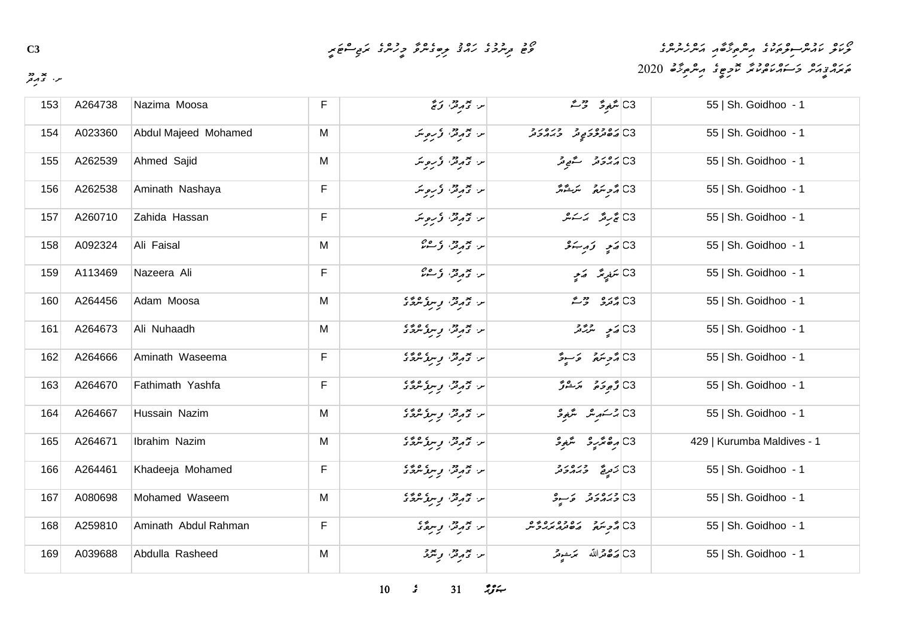*sCw7q7s5w7m< o<n9nOoAw7o< sCq;mAwBoEw7q<m; wBm;vB* م من المرة المرة المرة المرجع المرجع في المركبة 2020<br>مجم*د المريض المربوط المربع المرجع في المراجع المركبة* 

| 153 | A264738 | Nazima Moosa         | $\mathsf F$ | ىن ئۇمەتتى كەنتى             | C3 سَمْعِ <sub>و</sub> دَ 2°تَ                                                                                                                                                                                                   | 55   Sh. Goidhoo - 1       |
|-----|---------|----------------------|-------------|------------------------------|----------------------------------------------------------------------------------------------------------------------------------------------------------------------------------------------------------------------------------|----------------------------|
| 154 | A023360 | Abdul Majeed Mohamed | M           | مز تحقیق کی سوینگ            | C3 ړەپرىرى دىسمى دىرە دە                                                                                                                                                                                                         | 55   Sh. Goidhoo - 1       |
| 155 | A262539 | Ahmed Sajid          | M           | من محمد فقرأ كل مربع مكر     | C3 كەبرى قىرىق ئىقىن ئىقىن ئىقىن ئىقىن ئىقىن ئىقىن ئىقىن ئىقىن ئىقىن ئىقىن ئىقىن ئىقىن ئىقىن ئىقىن ئىقىن ئىقىن<br>مەنبە ئىقىن ئىقىن ئىقىن ئىقىن ئىقىن ئىقىن ئىقىن ئىقىن ئىقىن ئىقىن ئىقىن ئىقىن ئىقىن ئىقىن ئىقسى ئىقسى ئىقسى ئى | 55   Sh. Goidhoo - 1       |
| 156 | A262538 | Aminath Nashaya      | $\mathsf F$ | من محمد فقرأ كل مربع مكر     |                                                                                                                                                                                                                                  | 55   Sh. Goidhoo - 1       |
| 157 | A260710 | Zahida Hassan        | $\mathsf F$ | یں تھرفٹن کی پرچنگ           | C3 يُحْرِمُهُ بَرَسَمْهُ                                                                                                                                                                                                         | 55   Sh. Goidhoo - 1       |
| 158 | A092324 | Ali Faisal           | M           | بر بیرود ی م                 | C3 كەير   تەرىبەقر                                                                                                                                                                                                               | 55   Sh. Goidhoo - 1       |
| 159 | A113469 | Nazeera Ali          | F           | برا المعروم المحاصر والمحامل | C3 سَمْدِيمٌ   صَعِ                                                                                                                                                                                                              | 55   Sh. Goidhoo - 1       |
| 160 | A264456 | Adam Moosa           | M           | برا بمردوا وسرعته والمحالي   | $23$ $22/3$ $\sim$ $23$                                                                                                                                                                                                          | 55   Sh. Goidhoo - 1       |
| 161 | A264673 | Ali Nuhaadh          | M           | ىر. ئەرقۇ، يەسۇسىدى          | C3 <i>ھَ۔</i> مِنْ مَرْحَمَّدُ                                                                                                                                                                                                   | 55   Sh. Goidhoo - 1       |
| 162 | A264666 | Aminath Waseema      | F           | برا بمردوا وسرعته            | C3 مُرْحِسَمُ وَسِوَّةً                                                                                                                                                                                                          | 55   Sh. Goidhoo - 1       |
| 163 | A264670 | Fathimath Yashfa     | $\mathsf F$ | ىن ئەرقۇر بوسۇمرىگە          | C3 تُرجوحَمُ مَنْ شَوَّرً                                                                                                                                                                                                        | 55   Sh. Goidhoo - 1       |
| 164 | A264667 | Hussain Nazim        | M           | ىر. ئۇرۇش ۋىترۇشۇڭ           | C3 بر سَمبر مُرَ مُرتَّبِي مُرتَّبِي                                                                                                                                                                                             | 55   Sh. Goidhoo - 1       |
| 165 | A264671 | Ibrahim Nazim        | M           | من محمد فرض الرسوع مركز كا   | C3 م <i>ەھترى</i> دۇ ش <sub>غو</sub> ۋ                                                                                                                                                                                           | 429   Kurumba Maldives - 1 |
| 166 | A264461 | Khadeeja Mohamed     | $\mathsf F$ | موسطح المستوفر المعروفية     |                                                                                                                                                                                                                                  | 55   Sh. Goidhoo - 1       |
| 167 | A080698 | Mohamed Waseem       | M           | پر مجموعة وسرو مهدم          | $5 - 2$ $3 - 2$                                                                                                                                                                                                                  | 55   Sh. Goidhoo - 1       |
| 168 | A259810 | Aminath Abdul Rahman | $\mathsf F$ | مز المجموعي المجموعي         | C3 2010000 C3                                                                                                                                                                                                                    | 55   Sh. Goidhoo - 1       |
| 169 | A039688 | Abdulla Rasheed      | M           | ىر. ئۇرۇش رىترۇ              | C3 كەھەراللە كىرى <u>س</u> وتىر                                                                                                                                                                                                  | 55   Sh. Goidhoo - 1       |

 $10$  *s* 31 *i*<sub>s</sub> $\approx$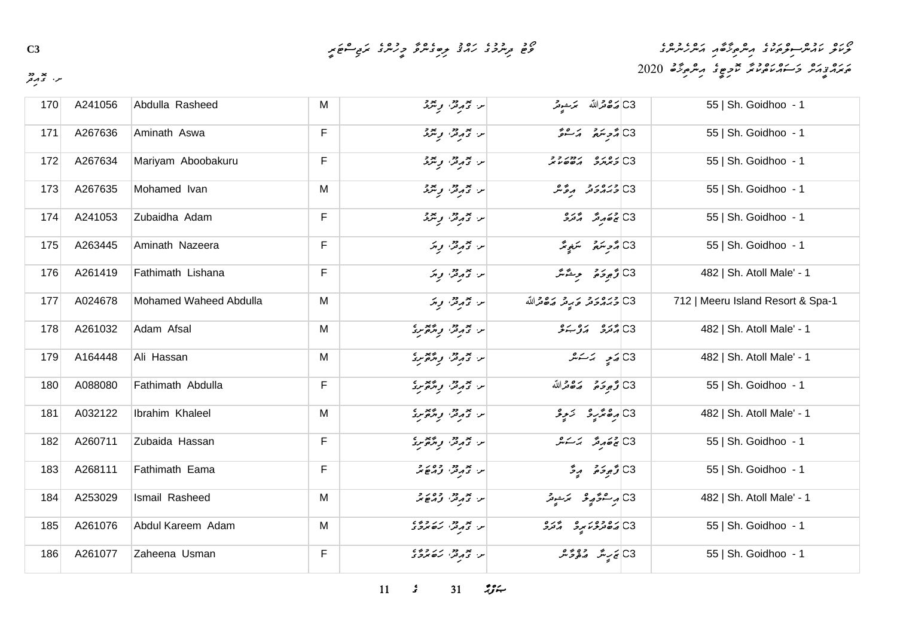*sCw7q7s5w7m< o<n9nOoAw7o< sCq;mAwBoEw7q<m; wBm;vB* م من المرة المرة المرة المرجع المرجع في المركبة 2020<br>مجم*د المريض المربوط المربع المرجع في المراجع المركبة* 

| 170 | A241056 | Abdulla Rasheed        | M           | اللا محمدتش ويحرقه                                                                                  | C3 مَەھمَراللە مَمَرْسِومْر                                   | 55   Sh. Goidhoo - 1              |
|-----|---------|------------------------|-------------|-----------------------------------------------------------------------------------------------------|---------------------------------------------------------------|-----------------------------------|
| 171 | A267636 | Aminath Aswa           | $\mathsf F$ | من محمد قرص مو يتحدثه                                                                               | C3 مُتَّحِبَّتَهُ مَنْ مَشَرَّةً                              | 55   Sh. Goidhoo - 1              |
| 172 | A267634 | Mariyam Aboobakuru     | $\mathsf F$ |                                                                                                     | 77777972703                                                   | 55   Sh. Goidhoo - 1              |
| 173 | A267635 | Mohamed Ivan           | M           | من محمد قرْ) و محرقه                                                                                | C3 <i>وبروبرو برؤ</i> مر                                      | 55   Sh. Goidhoo - 1              |
| 174 | A241053 | Zubaidha Adam          | F           | اللا محمدتش ويحرقه                                                                                  | $5.5$ $\frac{2}{3}$ $\frac{2}{3}$ $\frac{2}{3}$ $\frac{2}{3}$ | 55   Sh. Goidhoo - 1              |
| 175 | A263445 | Aminath Nazeera        | F           | یں مجموفی ویکر                                                                                      | C3 مَّ <i>جِيئيمْ سَنْبِي</i> مَّ                             | 55   Sh. Goidhoo - 1              |
| 176 | A261419 | Fathimath Lishana      | $\mathsf F$ | من محموقتر، توجر                                                                                    | C3 <i>وَّەودَەْ</i> بِسِقَى <i>دَ</i>                         | 482   Sh. Atoll Male' - 1         |
| 177 | A024678 | Mohamed Waheed Abdulla | M           | س محمد قرص و مرّ                                                                                    | C3 <i>وبروبر وبريد م</i> صورالله                              | 712   Meeru Island Resort & Spa-1 |
| 178 | A261032 | Adam Afsal             | M           | یں محمد دو اور پھر ہے                                                                               | C3 <i>مۇرى مۇسۇ</i> م                                         | 482   Sh. Atoll Male' - 1         |
| 179 | A164448 | Ali Hassan             | M           | ین نخورده و پژه برد                                                                                 | C3   تەيي    ئەسكەنل <i>ا</i>                                 | 482   Sh. Atoll Male' - 1         |
| 180 | A088080 | Fathimath Abdulla      | F           | یں محمد دو اور محمد ہے                                                                              | C3 وَجِوحَة صَ <b>صَ</b> قَرَاللّه                            | 55   Sh. Goidhoo - 1              |
| 181 | A032122 | Ibrahim Khaleel        | M           | من المحمد من المحرج من المحمد المحمد المحمد المحمد المحمد المحمد المحمد المحمد المحمد المحمد المحمد | C3 ب <i>رھيڙي</i> و - <i>ڌوِ</i> و                            | 482   Sh. Atoll Male' - 1         |
| 182 | A260711 | Zubaida Hassan         | $\mathsf F$ | من المجموعة المحرج المجموعة المجموعة المجموعة المجموعة المجموعة المجموعة المجموعة المجموعة المجموعة | C3 ىىھ مەمتر ئەسكەنلىر                                        | 55   Sh. Goidhoo - 1              |
| 183 | A268111 | Fathimath Eama         | F           | س محمد حق وه مرد                                                                                    | C3 ت <i>و چوڅو پ</i> وځ                                       | 55   Sh. Goidhoo - 1              |
| 184 | A253029 | Ismail Rasheed         | M           | بر بو دو وه دو پر                                                                                   | C3 م <sup>ا</sup> م سگوگھر تھی مکر ش <sub>ی</sub> فر          | 482   Sh. Atoll Male' - 1         |
| 185 | A261076 | Abdul Kareem Adam      | M           | بر الدور المرود و دارد                                                                              | C3 בەمرىر 2019 كىلى                                           | 55   Sh. Goidhoo - 1              |
| 186 | A261077 | Zaheena Usman          | F           | س محمد دو ره وده                                                                                    | C3 ئۈپ ئىز مەھمەتىر                                           | 55   Sh. Goidhoo - 1              |

 $11$  *s* 31 *i*<sub>3</sub> *n*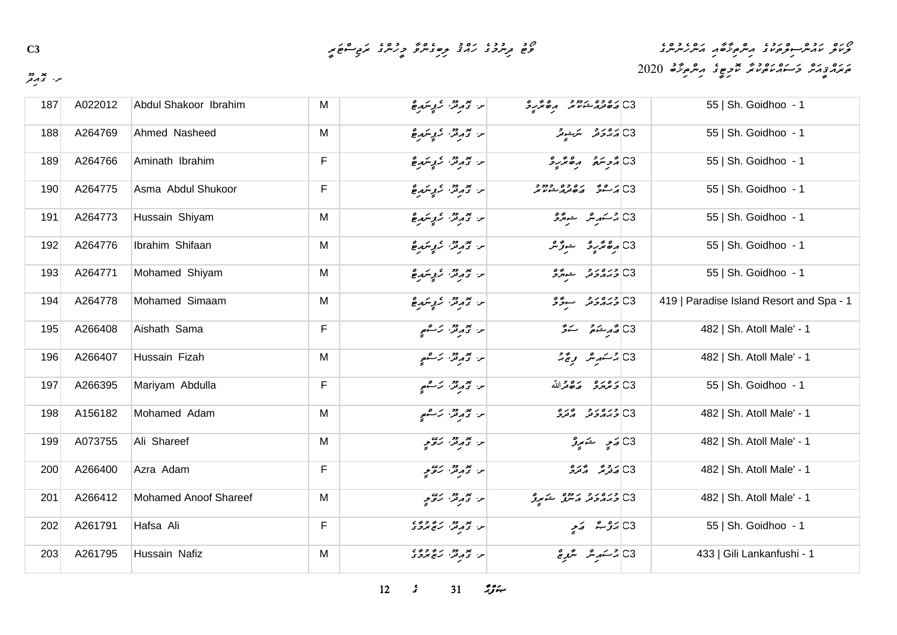*sCw7q7s5w7m< o<n9nOoAw7o< sCq;mAwBoEw7q<m; wBm;vB* م من المرة المرة المرة المرجع المرجع في المركبة 2020<br>مجم*د المريض المربوط المربع المرجع في المراجع المركبة* 

| 187 | A022012 | Abdul Shakoor Ibrahim | M | س تحمد فريس كرو يترم ع                                                                             | C3 مەھەرمەدد مەھەر بەر                 | 55   Sh. Goidhoo - 1                     |
|-----|---------|-----------------------|---|----------------------------------------------------------------------------------------------------|----------------------------------------|------------------------------------------|
| 188 | A264769 | Ahmed Nasheed         | M | س تحمد فريس محر في سكر في                                                                          | C3 <i>مک</i> ونر سرشونر                | 55   Sh. Goidhoo - 1                     |
| 189 | A264766 | Aminath Ibrahim       | F | من المجموعة المحر والكرم على المحر والمح                                                           |                                        | 55   Sh. Goidhoo - 1                     |
| 190 | A264775 | Asma Abdul Shukoor    | F | المستحرفة كرويتها هي                                                                               | 772020222200                           | 55   Sh. Goidhoo - 1                     |
| 191 | A264773 | Hussain Shiyam        | M | س تحمد فريس كرو يتمد هي                                                                            | C3 بر شهر مگر محد <i>ور شوره ک</i>     | 55   Sh. Goidhoo - 1                     |
| 192 | A264776 | Ibrahim Shifaan       | M | من المجموعة المحر والكرم على المحر والمح                                                           | C3 مەھە <i>تگەي</i> ھەرىپىتىس          | 55   Sh. Goidhoo - 1                     |
| 193 | A264771 | Mohamed Shiyam        | M | من المجموعة المحرج معرض على                                                                        | C3 <i>وبرو دو</i> شو <i>مر</i> و       | 55   Sh. Goidhoo - 1                     |
| 194 | A264778 | Mohamed Simaam        | M | من المحمد حديث المحمد عليه المحمد المحمد المحمد المحمد المحمد المحمد المحمد المحمد المحمد المحمد ا | $55 - 5555$ C3                         | 419   Paradise Island Resort and Spa - 1 |
| 195 | A266408 | Aishath Sama          | F | ىر، ئەمەنتر، ئەس <mark>م</mark> و                                                                  | C3 م <i>ەمبەھى</i> سەۋ                 | 482   Sh. Atoll Male' - 1                |
| 196 | A266407 | Hussain Fizah         | M | ىر، ئۇرۇش، ئەس <sub>ەمچ</sub>                                                                      | C3 بر <i>شهر بنگه و پخ ب</i> ر         | 482   Sh. Atoll Male' - 1                |
| 197 | A266395 | Mariyam Abdulla       | F | ىر، ئۇمەنتر، ئەس <mark>م</mark> و                                                                  | C3 <del>كرمرد</del> كامحمدالله         | 55   Sh. Goidhoo - 1                     |
| 198 | A156182 | Mohamed Adam          | M | یں تحصیل کے صحیح                                                                                   | C3 32023 وره                           | 482   Sh. Atoll Male' - 1                |
| 199 | A073755 | Ali Shareef           | M | یں مجمد پی کرنے کی                                                                                 | C3  تەمچ سى <i>تەمپ</i> ۇ              | 482   Sh. Atoll Male' - 1                |
| 200 | A266400 | Azra Adam             | F | یں مجمد پیر کری ہے                                                                                 | C3 مَقْرَمَّہُ مُحْمَدِہِ              | 482   Sh. Atoll Male' - 1                |
| 201 | A266412 | Mohamed Anoof Shareef | M | من محمد قرص مرکز محرمجہ                                                                            | C3 ديرورو رودو شهرو                    | 482   Sh. Atoll Male' - 1                |
| 202 | A261791 | Hafsa Ali             | F | بر البر دو المرکز و داده م                                                                         | C3 ټر <sup>و</sup> بگ <sub>مکم</sub> و | 55   Sh. Goidhoo - 1                     |
| 203 | A261795 | Hussain Nafiz         | M | سالم دوم المستحرم و دام م                                                                          | C3 برڪوپٽر س <i>گوي</i> ءَ             | 433   Gili Lankanfushi - 1               |

 $12$  *s* 31 *i*<sub>S</sub>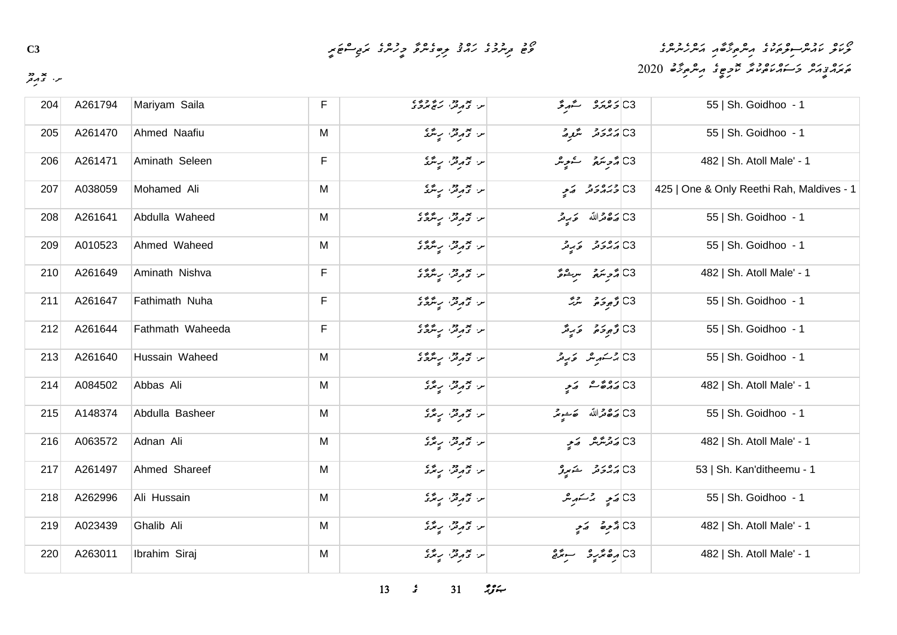*sCw7q7s5w7m< o<n9nOoAw7o< sCq;mAwBoEw7q<m; wBm;vB* م من المرة المرة المرة المرجع المرجع في المركبة 2020<br>مجم*د المريض المربوط المربع المرجع في المراجع المركبة* 

| 204 | A261794 | Mariyam Saila    | $\mathsf F$ | من المعروض المركزة المحدورة المحدورة               | C3 كوجوجر محمد محمد مح                      | 55   Sh. Goidhoo - 1                      |
|-----|---------|------------------|-------------|----------------------------------------------------|---------------------------------------------|-------------------------------------------|
| 205 | A261470 | Ahmed Naafiu     | M           | س مجموفتن سينتمنك                                  | C3 <i>مُدْدَ</i> وَمُ سُمْدِهُ              | 55   Sh. Goidhoo - 1                      |
| 206 | A261471 | Aminath Seleen   | $\mathsf F$ | ىر، ئۇرۇش بەشكە                                    | C3 مُرْحِسَمُ شَعِرِ مُرْ                   | 482   Sh. Atoll Male' - 1                 |
| 207 | A038059 | Mohamed Ali      | M           | من محمد قرش سر مرتكز                               | C3 <i>وَبَدُوْدَوْ</i> مَعِ                 | 425   One & Only Reethi Rah, Maldives - 1 |
| 208 | A261641 | Abdulla Waheed   | M           | بر به ده په ده                                     | C3 مَەھىراللە   مَ بِرِمْر                  | 55   Sh. Goidhoo - 1                      |
| 209 | A010523 | Ahmed Waheed     | M           | یں تحمیر کے مختلف                                  | C3 <i>مَدْدَوْرٌ وَبِ</i> يْرٌ              | 55   Sh. Goidhoo - 1                      |
| 210 | A261649 | Aminath Nishva   | $\mathsf F$ | پر جمهور کر پر پر پر د                             |                                             | 482   Sh. Atoll Male' - 1                 |
| 211 | A261647 | Fathimath Nuha   | $\mathsf F$ | یں تحمد پڑھی کے مختلف کا ا                         | C3 <i>وَّجِوحَمْ</i> سَرَبَّہُ              | 55   Sh. Goidhoo - 1                      |
| 212 | A261644 | Fathmath Waheeda | F           | بر نیم ده په پروی                                  | C3 <i>وَّجِوَدَّة</i> وَر <sub>ِي</sub> قَر | 55   Sh. Goidhoo - 1                      |
| 213 | A261640 | Hussain Waheed   | M           | بر البر دو.<br>برا المحمد ترا المحمد المحمد المحمد | C3 برڪيريش ڪي <sub>و</sub> يٽر              | 55   Sh. Goidhoo - 1                      |
| 214 | A084502 | Abbas Ali        | M           | ىن ئۇمەقتى سەتتى ئە                                | C3 مەمۇب مەر                                | 482   Sh. Atoll Male' - 1                 |
| 215 | A148374 | Abdulla Basheer  | M           | من محمد قرش سر محمدی                               | C3 كَەھىراللە   كەخومگر                     | 55   Sh. Goidhoo - 1                      |
| 216 | A063572 | Adnan Ali        | M           | من محمد قرش سر محرى                                | C3 كەنترىترىش كەي <u>ج</u>                  | 482   Sh. Atoll Male' - 1                 |
| 217 | A261497 | Ahmed Shareef    | M           | ىر. ئۇرۇش رىترى                                    | C3 <i>مَدْدَوْمْ</i> سَمَعِيوْ              | 53   Sh. Kan'ditheemu - 1                 |
| 218 | A262996 | Ali Hussain      | M           | ىن ئۇرۇش بەتكەنج                                   | C3 <i>ھَ۔</i> پر شمیر شر                    | 55   Sh. Goidhoo - 1                      |
| 219 | A023439 | Ghalib Ali       | M           | من محمد قرش سر محرى                                | C3 <i>ڏوھ مَ</i> ي                          | 482   Sh. Atoll Male' - 1                 |
| 220 | A263011 | Ibrahim Siraj    | M           | ىن ئۇمەقتى سەئىرى                                  | C3  مەھەمگە يەممىسى ئىسىمىسى ئى             | 482   Sh. Atoll Male' - 1                 |

 $13$  *s*  $31$  *n***<sub>y</sub>**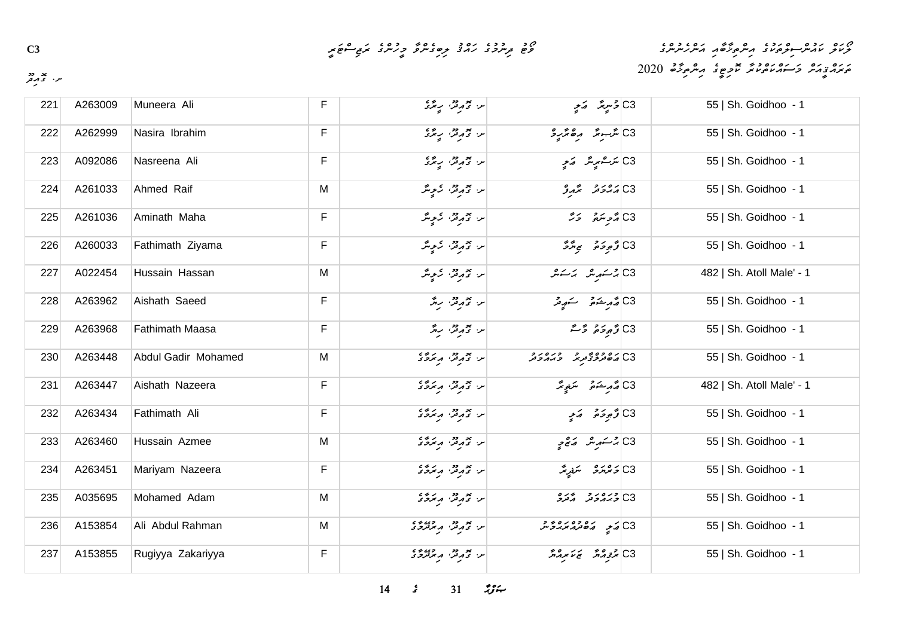*sCw7q7s5w7m< o<n9nOoAw7o< sCq;mAwBoEw7q<m; wBm;vB* م من المرة المرة المرة المرجع المرجع في المركبة 2020<br>مجم*د المريض المربوط المربع المرجع في المراجع المركبة* 

| 221 | A263009 | Muneera Ali            | $\mathsf F$ | ىن ئۇمەتتى سەئىرى                                                                                                                                                                                                     | C3 دُ سِمَّہ      دَمِرِ                                                                             | 55   Sh. Goidhoo - 1      |
|-----|---------|------------------------|-------------|-----------------------------------------------------------------------------------------------------------------------------------------------------------------------------------------------------------------------|------------------------------------------------------------------------------------------------------|---------------------------|
| 222 | A262999 | Nasira Ibrahim         | F           | اللاستخار فخراء المحريج                                                                                                                                                                                               | C3 بىر يىچە ئەرھ <i>ەترىي</i> 3                                                                      | 55   Sh. Goidhoo - 1      |
| 223 | A092086 | Nasreena Ali           | F           | یں مجموفی رہی                                                                                                                                                                                                         | C3 ىرگىرىدىگە كەمچە                                                                                  | 55   Sh. Goidhoo - 1      |
| 224 | A261033 | Ahmed Raif             | M           | اللا المجموفين الكوينگ                                                                                                                                                                                                | C3 <i>مَدْدَوْمَ</i> مَّمْدِرْ                                                                       | 55   Sh. Goidhoo - 1      |
| 225 | A261036 | Aminath Maha           | $\mathsf F$ | ىر، ئۇرۇش، ئەچەنگە                                                                                                                                                                                                    | C3 م <i>جمع حر</i> م                                                                                 | 55   Sh. Goidhoo - 1      |
| 226 | A260033 | Fathimath Ziyama       | F           | ىر، ئۇرقۇ، ئەچەش                                                                                                                                                                                                      | $\mathcal{E}$ وَّجِ دَحْمَ بِمِثْرَةَ                                                                | 55   Sh. Goidhoo - 1      |
| 227 | A022454 | Hussain Hassan         | M           | من محمد قراء محر مرتگ                                                                                                                                                                                                 | C3 يُرْسَمْ بِيْرَ بِرَسْتَمْر                                                                       | 482   Sh. Atoll Male' - 1 |
| 228 | A263962 | Aishath Saeed          | $\mathsf F$ | اللاستخار فترا الرامر                                                                                                                                                                                                 | C3 م <i>ەمبەشقى سىمپى</i> تر                                                                         | 55   Sh. Goidhoo - 1      |
| 229 | A263968 | <b>Fathimath Maasa</b> | F           | اللاستخار فترا الرامر                                                                                                                                                                                                 | C3 <i>وُجوح</i> و وُسَّمَ                                                                            | 55   Sh. Goidhoo - 1      |
| 230 | A263448 | Abdul Gadir Mohamed    | M           | بن محمد فرص مرکزی                                                                                                                                                                                                     | C3 كەھەر ئۇيرىز بەربەر بەر ئالىرى ئالىرى ئالىرى ئالىرى ئالىرى ئالىرى ئالىرى ئالىرى ئالىرى ئالىرى ئال | 55   Sh. Goidhoo - 1      |
| 231 | A263447 | Aishath Nazeera        | $\mathsf F$ | بر محمد فرض مرحوم                                                                                                                                                                                                     | C3 مۇم ئىشقى ئىستى <i>مۇ بى</i> گە                                                                   | 482   Sh. Atoll Male' - 1 |
| 232 | A263434 | Fathimath Ali          | F           | بن محمد فرص مرکزی                                                                                                                                                                                                     | C3 وَج <i>وحَ</i> هُمَ مِي                                                                           | 55   Sh. Goidhoo - 1      |
| 233 | A263460 | Hussain Azmee          | M           | بن تحمد فرض مرتدى                                                                                                                                                                                                     | C3 برڪهريش <i>پرچ</i> وپه                                                                            | 55   Sh. Goidhoo - 1      |
| 234 | A263451 | Mariyam Nazeera        | F           | بن تحمد فرض مرتدى                                                                                                                                                                                                     | C3 <i>5xx5</i> سَمْدِيَّتَر                                                                          | 55   Sh. Goidhoo - 1      |
| 235 | A035695 | Mohamed Adam           | M           | بر مورد مرده                                                                                                                                                                                                          | $5.25 - 2.25 = 0.3$                                                                                  | 55   Sh. Goidhoo - 1      |
| 236 | A153854 | Ali Abdul Rahman       | M           | بر الدود المتحدودي                                                                                                                                                                                                    | C3 <i>مزو مەھەرە بە</i> ر                                                                            | 55   Sh. Goidhoo - 1      |
| 237 | A153855 | Rugiyya Zakariyya      | $\mathsf F$ | س موجع المرتبة ومن ومن المرتبة المرتبة المرتبة المرتبة المرتبة المرتبة المرتبة المرتبة المرتبة المر<br>المرتبة المرتبة المرتبة المرتبة المرتبة المرتبة المرتبة المرتبة المرتبة المرتبة المرتبة المرتبة المرتبة المرتب | C3 ىر <i>تومىڭ تەكتىرمىڭ</i>                                                                         | 55   Sh. Goidhoo - 1      |

 $14$  *s* 31 *i*<sub>S</sub> $\approx$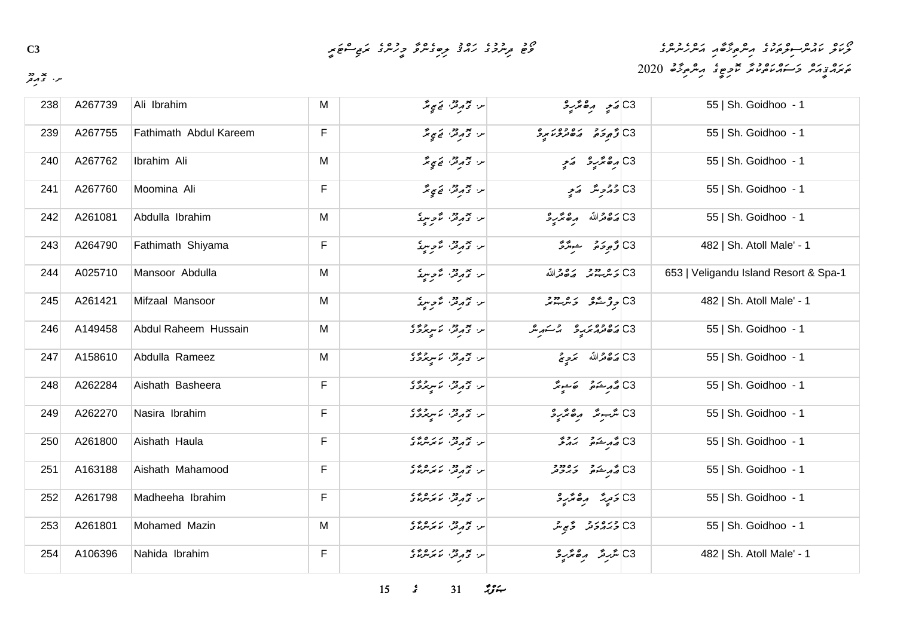*sCw7q7s5w7m< o<n9nOoAw7o< sCq;mAwBoEw7q<m; wBm;vB* م من المرة المرة المرة المرجع المرجع في المركبة 2020<br>مجم*د المريض المربوط المربع المرجع في المراجع المركبة* 

| 238 | A267739 | Ali Ibrahim            | M | یں مجم <sup>ور</sup> ہے بیگر                                                                                   | C3 <i>مَجِ م</i> ەم <i>َدْرِ</i> دْ                    | 55   Sh. Goidhoo - 1                  |
|-----|---------|------------------------|---|----------------------------------------------------------------------------------------------------------------|--------------------------------------------------------|---------------------------------------|
| 239 | A267755 | Fathimath Abdul Kareem | F | یں مجم <sup>ود</sup> ہے ہو مگر                                                                                 | C3 تُهوِمَهُ مُصْرَبِرُ مَرِمْ                         | 55   Sh. Goidhoo - 1                  |
| 240 | A267762 | Ibrahim Ali            | M | ىر ئىم بەقتى ئىم ئىگە                                                                                          | C3 مەھم <i>گىي</i> ھەممىي                              | 55   Sh. Goidhoo - 1                  |
| 241 | A267760 | Moomina Ali            | F | یں تخمیص کھیج تک                                                                                               | C3 جۇمۇمىتى <b>م</b> كىرىيە                            | 55   Sh. Goidhoo - 1                  |
| 242 | A261081 | Abdulla Ibrahim        | M | ىر، ئۇرۇش ئۇچ بىرىگە                                                                                           | C3 مَەقداللە م <i>ەھترىي</i> 3                         | 55   Sh. Goidhoo - 1                  |
| 243 | A264790 | Fathimath Shiyama      | F | یں تمریز، عمر سرع                                                                                              | $\mathcal{E} = \frac{1}{2} \sum_{i=1}^{n} \mathcal{E}$ | 482   Sh. Atoll Male' - 1             |
| 244 | A025710 | Mansoor Abdulla        | M | یں تحصیل مگر سری                                                                                               | $Ca^{3}$ $\approx$ $Ca^{3}$ $\approx$ $Ca^{3}$         | 653   Veligandu Island Resort & Spa-1 |
| 245 | A261421 | Mifzaal Mansoor        | M | مورد المعرفين المعجم المعرفية                                                                                  | C3 <i>وۋىتۇ خىرىتى</i> ر                               | 482   Sh. Atoll Male' - 1             |
| 246 | A149458 | Abdul Raheem Hussain   | M | بر الدود الأس والماء                                                                                           | C3 مەھ <i>ىرمىكىي</i> 3 - ئىكمبىر                      | 55   Sh. Goidhoo - 1                  |
| 247 | A158610 | Abdulla Rameez         | M | بر المحرود الأسرچون                                                                                            | C3 كەھەراللە ئىر <i>و</i> تى                           | 55   Sh. Goidhoo - 1                  |
| 248 | A262284 | Aishath Basheera       | F | بر الدود الأسروف                                                                                               | C3 م <i>ەرىشقى ھىش</i> ېتمى                            | 55   Sh. Goidhoo - 1                  |
| 249 | A262270 | Nasira Ibrahim         | F | بر المحرود الأس والمحمد                                                                                        | C3 ىئزىبو <i>مىڭ مەھەترى</i> رى                        | 55   Sh. Goidhoo - 1                  |
| 250 | A261800 | Aishath Haula          | F | س بو دو زبره و و و                                                                                             | C3 مەم ئىقتىم ئىمگە ئى                                 | 55   Sh. Goidhoo - 1                  |
| 251 | A163188 | Aishath Mahamood       | F | س بورود کانده وره                                                                                              | C3 مەم شەھ ھەد دەرد                                    | 55   Sh. Goidhoo - 1                  |
| 252 | A261798 | Madheeha Ibrahim       | F | س بورود کا برماره د                                                                                            | C3 دَمِيدٌ مِنْ صَمَّرِ وَ                             | 55   Sh. Goidhoo - 1                  |
| 253 | A261801 | Mohamed Mazin          | M | بر العراق المتحد المحمد المحمد المحمد المحمد المحمد المحمد المحمد المحمد المحمد المحمد المحمد المحمد المحمد ال | C3 <i>دېمم</i> ونر گېږم                                | 55   Sh. Goidhoo - 1                  |
| 254 | A106396 | Nahida Ibrahim         | F | ىر. ئۇ مەدەب ئەترىكرىدى.<br>مەن ئى مەنگەن ئەتىرىكىس                                                            | C3 بَتَربتَدُ م <i>ِنْ مُ</i> تَرَبِّدَ                | 482   Sh. Atoll Male' - 1             |

 $15$  *s* 31 *i*<sub>S</sub> $\approx$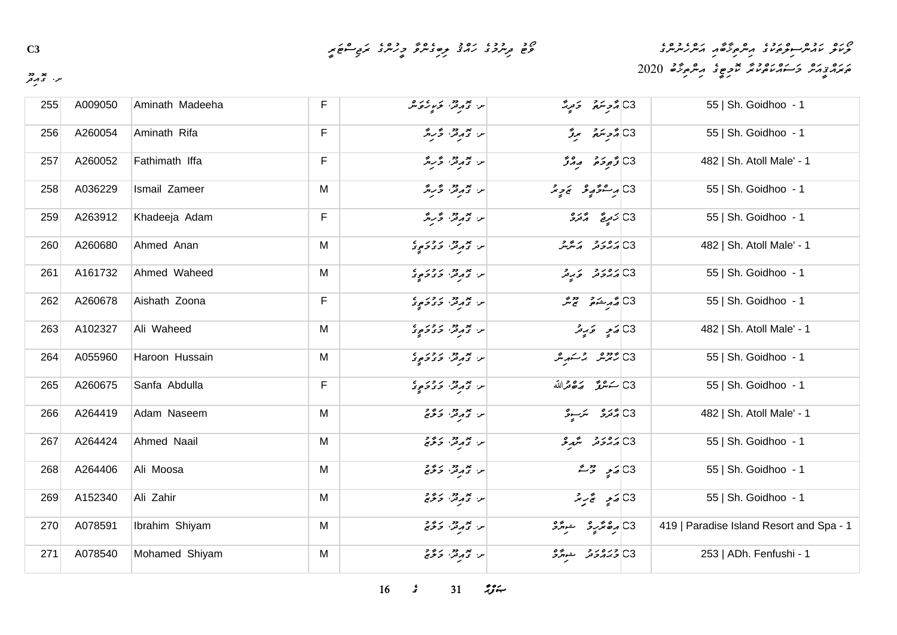*sCw7q7s5w7m< o<n9nOoAw7o< sCq;mAwBoEw7q<m; wBm;vB* م من المرة المرة المرة المرجع المرجع في المركبة 2020<br>مجم*د المريض المربوط المربع المرجع في المراجع المركبة* 

| 255 | A009050 | Aminath Madeeha | F            | بر نوردو، ئۇرىئە ئەھ  | C3 مُتَّحِسَّعَ وَمَثِيَّدَ                                                                                                                                                                                                                                                                                                                                 | 55   Sh. Goidhoo - 1                     |
|-----|---------|-----------------|--------------|-----------------------|-------------------------------------------------------------------------------------------------------------------------------------------------------------------------------------------------------------------------------------------------------------------------------------------------------------------------------------------------------------|------------------------------------------|
| 256 | A260054 | Aminath Rifa    | F            | برا بيروج وحرير       | C3 مُجِسَعَةً مِنَّ                                                                                                                                                                                                                                                                                                                                         | 55   Sh. Goidhoo - 1                     |
| 257 | A260052 | Fathimath Iffa  | F            | برا بيروج وحرير       | $\mathcal{E}$ $\mathcal{E}$ $\mathcal{E}$ $\mathcal{E}$ $\mathcal{E}$ $\mathcal{E}$ $\mathcal{E}$ $\mathcal{E}$ $\mathcal{E}$ $\mathcal{E}$ $\mathcal{E}$ $\mathcal{E}$ $\mathcal{E}$ $\mathcal{E}$ $\mathcal{E}$ $\mathcal{E}$ $\mathcal{E}$ $\mathcal{E}$ $\mathcal{E}$ $\mathcal{E}$ $\mathcal{E}$ $\mathcal{E}$ $\mathcal{E}$ $\mathcal{E}$ $\mathcal{$ | 482   Sh. Atoll Male' - 1                |
| 258 | A036229 | Ismail Zameer   | M            | برا بيوردها الحرير    | C3 م <i>ېشۇمۇ توپۇ</i>                                                                                                                                                                                                                                                                                                                                      | 55   Sh. Goidhoo - 1                     |
| 259 | A263912 | Khadeeja Adam   | $\mathsf{F}$ | من محمد قديم محر مركز | C3 كَتَامِيعٌ المُرْمَرُّونُ                                                                                                                                                                                                                                                                                                                                | 55   Sh. Goidhoo - 1                     |
| 260 | A260680 | Ahmed Anan      | M            | ر به دو رور پ         | C3 كەبروقى كەنگەنگە                                                                                                                                                                                                                                                                                                                                         | 482   Sh. Atoll Male' - 1                |
| 261 | A161732 | Ahmed Waheed    | M            | ر به دو رور به        | C3 <i>مَدْدَ دَ وَبِ</i> يْرَ                                                                                                                                                                                                                                                                                                                               | 55   Sh. Goidhoo - 1                     |
| 262 | A260678 | Aishath Zoona   | $\mathsf F$  | ر به دو رور پ         | C3 مەم شەھرە تەتىر                                                                                                                                                                                                                                                                                                                                          | 55   Sh. Goidhoo - 1                     |
| 263 | A102327 | Ali Waheed      | M            | ر به دو رور پ         | C3 <i>مَيْ وَبِينْر</i>                                                                                                                                                                                                                                                                                                                                     | 482   Sh. Atoll Male' - 1                |
| 264 | A055960 | Haroon Hussain  | M            | ر به دو رور پ         | C3 ئەمىر مىر ب <sub>ىر</sub> ئىسكىرىك                                                                                                                                                                                                                                                                                                                       | 55   Sh. Goidhoo - 1                     |
| 265 | A260675 | Sanfa Abdulla   | F            | ر بو دو رور به        | C3 كەشرى <i>ق مەھەتر</i> اللە                                                                                                                                                                                                                                                                                                                               | 55   Sh. Goidhoo - 1                     |
| 266 | A264419 | Adam Naseem     | M            | ر به بروژه ژومی       | C3 <i>مُحَمَّ</i> دُ سَرَسِيْرُ                                                                                                                                                                                                                                                                                                                             | 482   Sh. Atoll Male' - 1                |
| 267 | A264424 | Ahmed Naail     | M            | ىن ئۇمەتتى كەنجى      | C3 <i>مَدْدَوْرْ</i> سَمْدِ وْ                                                                                                                                                                                                                                                                                                                              | 55   Sh. Goidhoo - 1                     |
| 268 | A264406 | Ali Moosa       | M            | ىن ئۇمەتتى كەنجى      | $23 \div 203$                                                                                                                                                                                                                                                                                                                                               | 55   Sh. Goidhoo - 1                     |
| 269 | A152340 | Ali Zahir       | M            | ر به بروژه ژوگرم      | C3 <i>ھَي چُرين</i> ُ                                                                                                                                                                                                                                                                                                                                       | 55   Sh. Goidhoo - 1                     |
| 270 | A078591 | Ibrahim Shiyam  | M            | ر پوروژ، ئەنگە        | $5.12$ $\frac{2}{3}$ $\frac{2}{3}$ $\frac{2}{3}$ $\frac{2}{3}$                                                                                                                                                                                                                                                                                              | 419   Paradise Island Resort and Spa - 1 |
| 271 | A078540 | Mohamed Shiyam  | M            | ر په په وژه لرکړي     | $5.923$ $2.923$ $C3$                                                                                                                                                                                                                                                                                                                                        | 253   ADh. Fenfushi - 1                  |

 $16$  *s* 31 *i*<sub>S</sub> $\approx$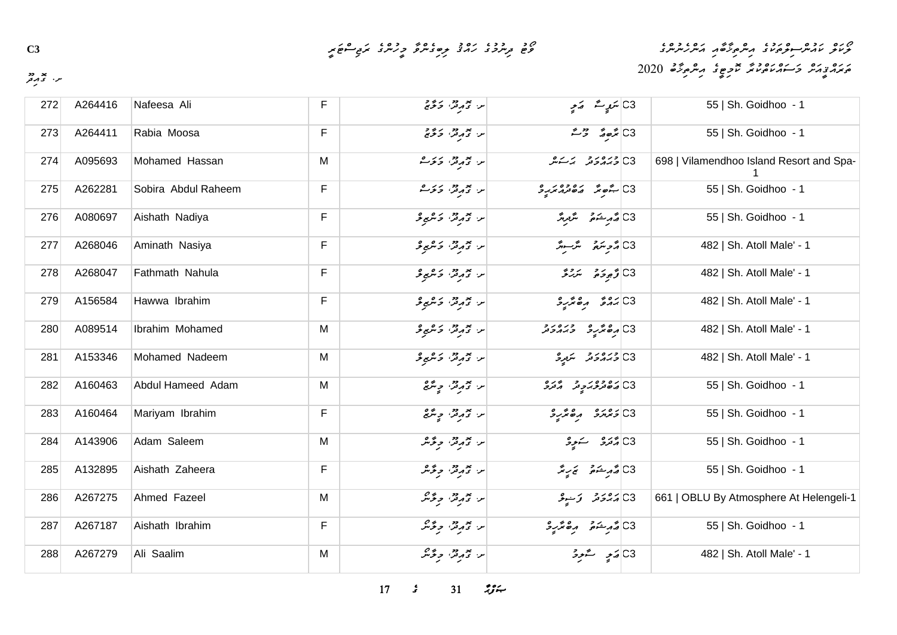*sCw7q7s5w7m< o<n9nOoAw7o< sCq;mAwBoEw7q<m; wBm;vB* م من المرة المرة المرة المرجع المرجع في المركبة 2020<br>مجم*د المريض المربوط المربع المرجع في المراجع المركبة* 

| 272 | A264416 | Nafeesa Ali         | $\mathsf F$  | ىر. ئۇرۇش كەنگەنچ              | C3 سَمِرٍ کے مَہ ِ                                                                                                                                                                                                                                                                                                                                          | 55   Sh. Goidhoo - 1                     |
|-----|---------|---------------------|--------------|--------------------------------|-------------------------------------------------------------------------------------------------------------------------------------------------------------------------------------------------------------------------------------------------------------------------------------------------------------------------------------------------------------|------------------------------------------|
| 273 | A264411 | Rabia Moosa         | $\mathsf{F}$ | اللا المجموفين الحافزيني       | $23$ $20\sqrt{2}$ $\sqrt{3}$                                                                                                                                                                                                                                                                                                                                | 55   Sh. Goidhoo - 1                     |
| 274 | A095693 | Mohamed Hassan      | M            | بر بورده نازه                  | C3 <i>وبروبرو برستر</i>                                                                                                                                                                                                                                                                                                                                     | 698   Vilamendhoo Island Resort and Spa- |
| 275 | A262281 | Sobira Abdul Raheem | $\mathsf F$  | ىر، ئەمەش، ئەبۇر               | 5.6202222202                                                                                                                                                                                                                                                                                                                                                | 55   Sh. Goidhoo - 1                     |
| 276 | A080697 | Aishath Nadiya      | $\mathsf F$  | ىر، ئۇرىق، كەشھۇ               | C3 م <i>ەمبىشى مەمبەر</i>                                                                                                                                                                                                                                                                                                                                   | 55   Sh. Goidhoo - 1                     |
| 277 | A268046 | Aminath Nasiya      | $\mathsf F$  | ىر، ئەرىش، كەشھۇ               | C3 مُجَرِسَمَةٌ سُرَّسِيَّرُ                                                                                                                                                                                                                                                                                                                                | 482   Sh. Atoll Male' - 1                |
| 278 | A268047 | Fathmath Nahula     | $\mathsf F$  | ر به به در تر تر تر تر تر تر ا | C3 <i>وَّجِ دَمَّى سَرَج</i> ْ                                                                                                                                                                                                                                                                                                                              | 482   Sh. Atoll Male' - 1                |
| 279 | A156584 | Hawwa Ibrahim       | $\mathsf F$  | أأرا المجموحين المحاشي فحر     | $5.222$ $-2.22$                                                                                                                                                                                                                                                                                                                                             | 482   Sh. Atoll Male' - 1                |
| 280 | A089514 | Ibrahim Mohamed     | M            | ىر، ئەرىش، كەشھۇ               | C3 مەھەر بەر دىمەدىر                                                                                                                                                                                                                                                                                                                                        | 482   Sh. Atoll Male' - 1                |
| 281 | A153346 | Mohamed Nadeem      | M            | الراسخ مرقش كريمري فخر         | $\mathcal{L}$ $\mathcal{L}$ $\mathcal{L}$ $\mathcal{L}$ $\mathcal{L}$ $\mathcal{L}$ $\mathcal{L}$ $\mathcal{L}$ $\mathcal{L}$ $\mathcal{L}$ $\mathcal{L}$ $\mathcal{L}$ $\mathcal{L}$ $\mathcal{L}$ $\mathcal{L}$ $\mathcal{L}$ $\mathcal{L}$ $\mathcal{L}$ $\mathcal{L}$ $\mathcal{L}$ $\mathcal{L}$ $\mathcal{L}$ $\mathcal{L}$ $\mathcal{L}$ $\mathcal{$ | 482   Sh. Atoll Male' - 1                |
| 282 | A160463 | Abdul Hameed Adam   | M            | الله المجموفين المح يترجى      | C3 בֿפּעלקיב היי                                                                                                                                                                                                                                                                                                                                            | 55   Sh. Goidhoo - 1                     |
| 283 | A160464 | Mariyam Ibrahim     | $\mathsf F$  | یں تخمیص چینج                  | C3  <i>دیمبرد م</i> قبرید                                                                                                                                                                                                                                                                                                                                   | 55   Sh. Goidhoo - 1                     |
| 284 | A143906 | Adam Saleem         | M            | یں تخمی <sup>9</sup> وقت       | C3 مُرْمَرْدُ سَمْرِدْ                                                                                                                                                                                                                                                                                                                                      | 55   Sh. Goidhoo - 1                     |
| 285 | A132895 | Aishath Zaheera     | $\mathsf{F}$ | ىر ئىمەتتى بولۇش               | C3 مۇم ھۇم ئىم <i>يەنگ</i> ە                                                                                                                                                                                                                                                                                                                                | 55   Sh. Goidhoo - 1                     |
| 286 | A267275 | Ahmed Fazeel        | M            | بر بیروژ، دِ ژَیْر             | C3 كەيرى كى ئەرىجى C3                                                                                                                                                                                                                                                                                                                                       | 661   OBLU By Atmosphere At Helengeli-1  |
| 287 | A267187 | Aishath Ibrahim     | $\mathsf F$  | ىر، ئۇرۇش جەنگە                | C3 مُمبِّسَمُ مِصْرَبِّرِد                                                                                                                                                                                                                                                                                                                                  | 55   Sh. Goidhoo - 1                     |
| 288 | A267279 | Ali Saalim          | M            | ىر، ئۇرقر، جەنگە               | C3 <i>ړې گو</i> و                                                                                                                                                                                                                                                                                                                                           | 482   Sh. Atoll Male' - 1                |

 $17$  *s* 31 *i*<sub>S</sub> $\approx$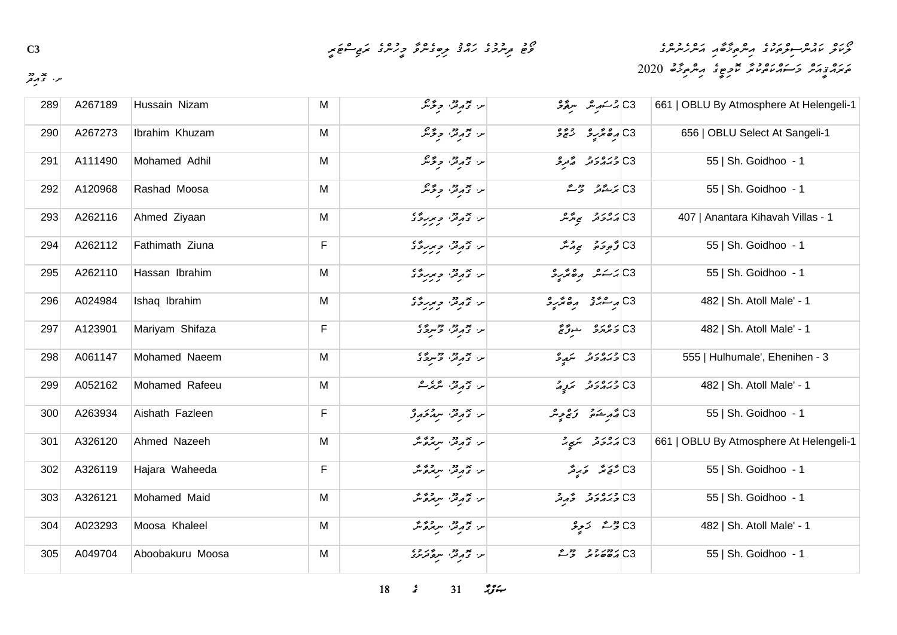*sCw7q7s5w7m< o<n9nOoAw7o< sCq;mAwBoEw7q<m; wBm;vB* م من المرة المرة المرة المرجع المرجع في المركبة 2020<br>مجم*د المريض المربوط المربع المرجع في المراجع المركبة* 

| 289 | A267189 | Hussain Nizam    | M           | سا محمد چی کو محمد می                                                                                                                                                                                                 | C3 بر سَمبر سَر سِمَّةَ حَ                                                                                                                                                                                                                                                                                                                                  | 661   OBLU By Atmosphere At Helengeli-1 |
|-----|---------|------------------|-------------|-----------------------------------------------------------------------------------------------------------------------------------------------------------------------------------------------------------------------|-------------------------------------------------------------------------------------------------------------------------------------------------------------------------------------------------------------------------------------------------------------------------------------------------------------------------------------------------------------|-----------------------------------------|
| 290 | A267273 | Ibrahim Khuzam   | M           | بر بیروژ، دِ ژَیْر                                                                                                                                                                                                    | $5.3$ $\frac{2}{3}$ $\frac{2}{3}$ $\frac{2}{3}$ $\frac{2}{3}$ $\frac{2}{3}$                                                                                                                                                                                                                                                                                 | 656   OBLU Select At Sangeli-1          |
| 291 | A111490 | Mohamed Adhil    | M           | ىر، ئۇرقۇ، جۇنگە                                                                                                                                                                                                      | C3 <i>وبروونر م</i> تور                                                                                                                                                                                                                                                                                                                                     | 55   Sh. Goidhoo - 1                    |
| 292 | A120968 | Rashad Moosa     | M           | ىر، ئەمەتق جەھىر                                                                                                                                                                                                      | C3 بَرَحْتَمَر 2ْتَ                                                                                                                                                                                                                                                                                                                                         | 55   Sh. Goidhoo - 1                    |
| 293 | A262116 | Ahmed Ziyaan     | M           | ر بو دو در دی                                                                                                                                                                                                         | C3 <i>مەمەدىر</i> بېر <i>مى</i> ر                                                                                                                                                                                                                                                                                                                           | 407   Anantara Kihavah Villas - 1       |
| 294 | A262112 | Fathimath Ziuna  | $\mathsf F$ | ر بو ده ورځ                                                                                                                                                                                                           | C3 تَ <i>جِوحَمَ</i> بِمِ <i>مْتَر</i> َ                                                                                                                                                                                                                                                                                                                    | 55   Sh. Goidhoo - 1                    |
| 295 | A262110 | Hassan Ibrahim   | M           | من محمد من من من محمد من المحمد المن                                                                                                                                                                                  | C3 ئەسەمى <i>ر مەمۇرى</i> 3                                                                                                                                                                                                                                                                                                                                 | 55   Sh. Goidhoo - 1                    |
| 296 | A024984 | Ishaq Ibrahim    | M           | من المحمد المحمد المحمد المحمد المحمد المحمد المحمد المحمد المحمد المحمد المحمد المحمد المحمد المحمد                                                                                                                  | C3 م سىرتى مەھ <i>ت</i> رىۋ                                                                                                                                                                                                                                                                                                                                 | 482   Sh. Atoll Male' - 1               |
| 297 | A123901 | Mariyam Shifaza  | $\mathsf F$ | س بو دو دوسره و                                                                                                                                                                                                       | $\mathcal{E}$ $\mathcal{E}$ $\mathcal{E}$ $\mathcal{E}$ $\mathcal{E}$ $\mathcal{E}$ $\mathcal{E}$ $\mathcal{E}$ $\mathcal{E}$ $\mathcal{E}$ $\mathcal{E}$ $\mathcal{E}$ $\mathcal{E}$ $\mathcal{E}$ $\mathcal{E}$ $\mathcal{E}$ $\mathcal{E}$ $\mathcal{E}$ $\mathcal{E}$ $\mathcal{E}$ $\mathcal{E}$ $\mathcal{E}$ $\mathcal{E}$ $\mathcal{E}$ $\mathcal{$ | 482   Sh. Atoll Male' - 1               |
| 298 | A061147 | Mohamed Naeem    | M           | بر المعروض والمروضى                                                                                                                                                                                                   | $\mathcal{L}$ $\mathcal{L}$ $\mathcal{L}$ $\mathcal{L}$ $\mathcal{L}$ $\mathcal{L}$ $\mathcal{L}$ $\mathcal{L}$ $\mathcal{L}$ $\mathcal{L}$ $\mathcal{L}$ $\mathcal{L}$ $\mathcal{L}$ $\mathcal{L}$ $\mathcal{L}$ $\mathcal{L}$ $\mathcal{L}$ $\mathcal{L}$ $\mathcal{L}$ $\mathcal{L}$ $\mathcal{L}$ $\mathcal{L}$ $\mathcal{L}$ $\mathcal{L}$ $\mathcal{$ | 555   Hulhumale', Ehenihen - 3          |
| 299 | A052162 | Mohamed Rafeeu   | M           | ىر. ئۇرۇش ئىگەنگە                                                                                                                                                                                                     | C3 <i>جەمەدىرىكى</i> ر                                                                                                                                                                                                                                                                                                                                      | 482   Sh. Atoll Male' - 1               |
| 300 | A263934 | Aishath Fazleen  | F           | من المحمد وهي سيد محمد و                                                                                                                                                                                              | C3 مۇم شەھ قۇيم <i>م</i> وشر                                                                                                                                                                                                                                                                                                                                | 55   Sh. Goidhoo - 1                    |
| 301 | A326120 | Ahmed Nazeeh     | M           | اس به دو استروکار                                                                                                                                                                                                     | C3 <i>مَدْدَوْتَرْ سَيِيدُ</i>                                                                                                                                                                                                                                                                                                                              | 661   OBLU By Atmosphere At Helengeli-1 |
| 302 | A326119 | Hajara Waheeda   | $\mathsf F$ | س محمد دو مستقرر من المستقرر المستقرر المستقرر المستقرر المستقرر المستقرر المستقرر المستقرر المستقرر<br>مستقبل المستقرر المستقرر المستقرر المستقرر المستقرر المستقرر المستقرر المستقرر المستقرر المستقرر المستقرر الم | C3 تَنْصَعَّر عَ <i>بِي</i> مَّ                                                                                                                                                                                                                                                                                                                             | 55   Sh. Goidhoo - 1                    |
| 303 | A326121 | Mohamed Maid     | M           | یں تحمیر دو مرکز میں                                                                                                                                                                                                  | C3 <i>جەمگە جۇم</i> قر                                                                                                                                                                                                                                                                                                                                      | 55   Sh. Goidhoo - 1                    |
| 304 | A023293 | Moosa Khaleel    | M           | س بو دو سرچونکر                                                                                                                                                                                                       | C3 تۇش ئى <i>رو</i>                                                                                                                                                                                                                                                                                                                                         | 482   Sh. Atoll Male' - 1               |
| 305 | A049704 | Aboobakuru Moosa | M           | المزاحم وه المتحدث                                                                                                                                                                                                    |                                                                                                                                                                                                                                                                                                                                                             | 55   Sh. Goidhoo - 1                    |

 $18$  *s* 31 *if***<sub>s</sub>**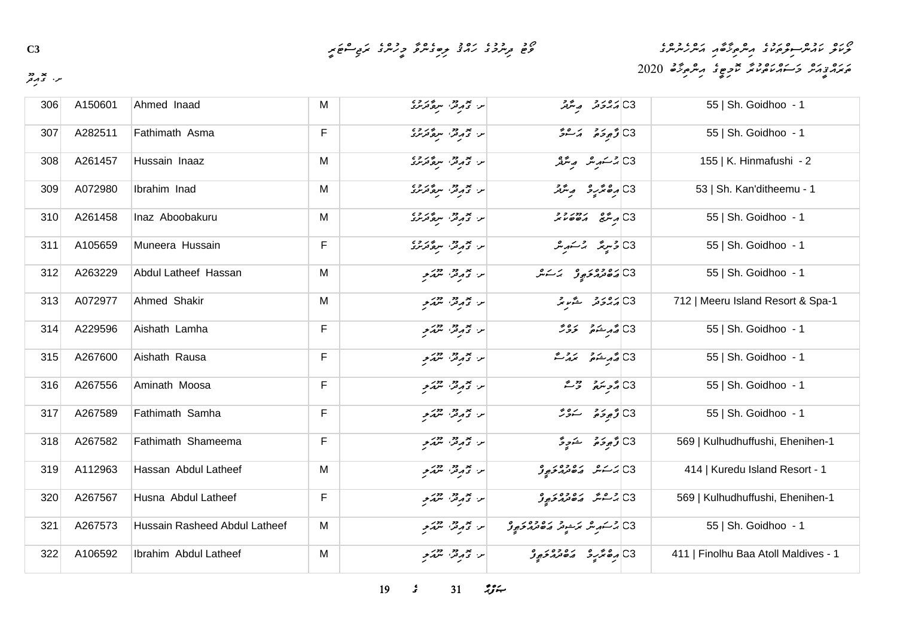*sCw7q7s5w7m< o<n9nOoAw7o< sCq;mAwBoEw7q<m; wBm;vB* م من المرة المرة المرة المرجع المرجع في المركبة 2020<br>مجم*د المريض المربوط المربع المرجع في المراجع المركبة* 

| 306 | A150601 | Ahmed Inaad                   | M            | ر به دو په مرغ تروی                        | C3 <i>مەمۇمۇھەر مەمۇمۇ</i>                         | 55   Sh. Goidhoo - 1                 |
|-----|---------|-------------------------------|--------------|--------------------------------------------|----------------------------------------------------|--------------------------------------|
| 307 | A282511 | Fathimath Asma                | F            | ر به دود سره تروی                          | C3 تۇم <sub>ب</sub> وخۇ مەشىۋ                      | 55   Sh. Goidhoo - 1                 |
| 308 | A261457 | Hussain Inaaz                 | M            | ر بورود سره تروی                           | C3 يرسكوبى <i>ش ويتن</i> قر                        | 155   K. Hinmafushi - 2              |
| 309 | A072980 | Ibrahim Inad                  | M            | س بو دو.<br>س تاریخ در سرچ ترس             | C3 مەھ <i>مگىر ئى</i> مىتىگىر                      | 53   Sh. Kan'ditheemu - 1            |
| 310 | A261458 | Inaz Aboobakuru               | M            | ر بو دو سرگار وی                           | $22222$ $227$                                      | 55   Sh. Goidhoo - 1                 |
| 311 | A105659 | Muneera Hussain               | $\mathsf{F}$ | ر بورود سره تروی                           | C3 دېمپو <i>نګه جي شمېر نګر</i>                    | 55   Sh. Goidhoo - 1                 |
| 312 | A263229 | Abdul Latheef Hassan          | M            | برا به ده استمداد                          | C3 <i>مەھەرمۇمۇق بى</i> سكىر                       | 55   Sh. Goidhoo - 1                 |
| 313 | A072977 | Ahmed Shakir                  | M            | بر به به ده من بر                          | C3 <i>مەدە</i> ر شىرىمە                            | 712   Meeru Island Resort & Spa-1    |
| 314 | A229596 | Aishath Lamha                 | $\mathsf{F}$ | بر به به ده من بر                          | C3 مەم ئىقتىمە ئىمى ئىچە ئى                        | 55   Sh. Goidhoo - 1                 |
| 315 | A267600 | Aishath Rausa                 | F            | بر به برود مندو                            |                                                    | 55   Sh. Goidhoo - 1                 |
| 316 | A267556 | Aminath Moosa                 | $\mathsf{F}$ | بر به برود مندو                            | $23$ $24$ $27$ $23$                                | 55   Sh. Goidhoo - 1                 |
| 317 | A267589 | Fathimath Samha               | $\mathsf{F}$ | اللاستخمار فقرا للمذكر                     | C3 تۇم <sub>ب</sub> وخۇ سە <i>ۋ</i> ر              | 55   Sh. Goidhoo - 1                 |
| 318 | A267582 | Fathimath Shameema            | $\mathsf{F}$ | اللاستخمامين للمذكر                        | C3 تَ <i>وْجِوَةْ شَوِدُّ</i>                      | 569   Kulhudhuffushi, Ehenihen-1     |
| 319 | A112963 | Hassan Abdul Latheef          | M            | بر به برود مندو                            | C3 ئەسەمىر مەھ <i>ىرم خېر</i> ۇ                    | 414   Kuredu Island Resort - 1       |
| 320 | A267567 | Husna Abdul Latheef           | $\mathsf F$  | الراسم وقريح المتمر                        | C3 يزيند مەھ <i>ىرم خې</i> رۇ                      | 569   Kulhudhuffushi, Ehenihen-1     |
| 321 | A267573 | Hussain Rasheed Abdul Latheef | M            | من محمد قريح المعتمد من محمد المحمد المحمد | C3 يُرْسَمَ مِنْ مَرْسُومْ مُنْ صَمْرَ مُرْجَعِ رُ | 55   Sh. Goidhoo - 1                 |
| 322 | A106592 | Ibrahim Abdul Latheef         | M            | اللا محمد قريح متعدَّم                     | C3 مەھمىر ئەھەرمۇمۇر                               | 411   Finolhu Baa Atoll Maldives - 1 |

*19 s* 31 *i*<sub>s</sub>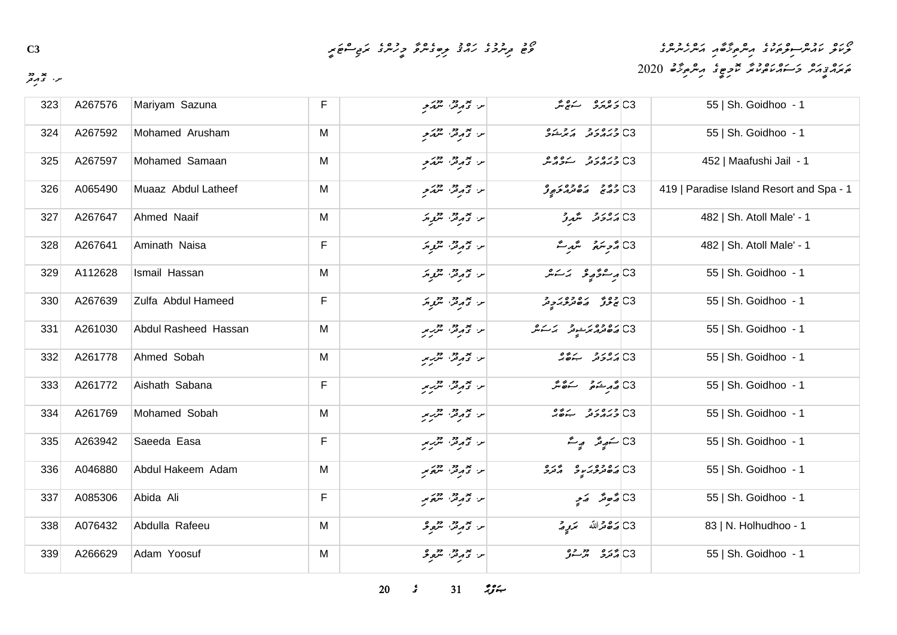*sCw7q7s5w7m< o<n9nOoAw7o< sCq;mAwBoEw7q<m; wBm;vB* م من المرة المرة المرة المرجع المرجع في المركبة 2020<br>مجم*د المريض المربوط المربع المرجع في المراجع المركبة* 

| 323 | A267576 | Mariyam Sazuna       | F            | ىر، ئۇمەنتى، ئىزى <i>مەنج</i>      | C3 كەنگەر ئىش ئىش ئىش                      | 55   Sh. Goidhoo - 1                     |
|-----|---------|----------------------|--------------|------------------------------------|--------------------------------------------|------------------------------------------|
| 324 | A267592 | Mohamed Arusham      | M            | ىر، ئۇرۇش شەھرىيە                  | $5.22$ $2.2023$                            | 55   Sh. Goidhoo - 1                     |
| 325 | A267597 | Mohamed Samaan       | M            | ىر، ئۇمەنتى، ئىزى <i>مەنج</i>      | C3 ديرورو دومو                             | 452   Maafushi Jail - 1                  |
| 326 | A065490 | Muaaz Abdul Latheef  | M            | ىر، ئەمەتتى، شە <i>مەت</i>         | C3 دور ده دور و                            | 419   Paradise Island Resort and Spa - 1 |
| 327 | A267647 | Ahmed Naaif          | M            | س تمریز شریر                       | C3 <i>مُدْدَوْرٌ</i> سُمْدِرٌ              | 482   Sh. Atoll Male' - 1                |
| 328 | A267641 | Aminath Naisa        | $\mathsf{F}$ | اللا محمدقترا لتتوجر               | C3 مُتَّحِسَمُ مُسَمَّدٍ مُسَمَّدٍ         | 482   Sh. Atoll Male' - 1                |
| 329 | A112628 | Ismail Hassan        | M            | سا سمج مرتش منتز مر                | C3 <sub>م</sub> ېشۇم ئۇ بەسكىر             | 55   Sh. Goidhoo - 1                     |
| 330 | A267639 | Zulfa Abdul Hameed   | $\mathsf F$  | س تەرىپى شرىر                      | C3 يحوز مەمىر <i>جى</i> ر                  | 55   Sh. Goidhoo - 1                     |
| 331 | A261030 | Abdul Rasheed Hassan | M            | اللاستخمر فرقما الترسيب            | C3 مەھ <i>ىرم م</i> ىشى <i>مى بىر سەمگ</i> | 55   Sh. Goidhoo - 1                     |
| 332 | A261778 | Ahmed Sobah          | M            | ىر، ئەمەقش، ئىش <i>رى</i> ر        | 22222                                      | 55   Sh. Goidhoo - 1                     |
| 333 | A261772 | Aishath Sabana       | $\mathsf{F}$ | ىر، ئۇم <i>رىق،</i> ئىز <i>رىي</i> | C3 مۇم شەھ سى <i>ۋەتگ</i> ر                | 55   Sh. Goidhoo - 1                     |
| 334 | A261769 | Mohamed Sobah        | M            | این بخ مرفق مترسبه                 | 2222028                                    | 55   Sh. Goidhoo - 1                     |
| 335 | A263942 | Saeeda Easa          | $\mathsf F$  | یں تحریف متر پر                    | C3 ڪوپٽر ويگ                               | 55   Sh. Goidhoo - 1                     |
| 336 | A046880 | Abdul Hakeem Adam    | M            | س تمریح معرض                       | C3 בەمرى <i>رىي</i> مەرە                   | 55   Sh. Goidhoo - 1                     |
| 337 | A085306 | Abida Ali            | $\mathsf{F}$ | س تحمد فران فرح من                 | C3 مُحصِّدٌ   مَعٍ                         | 55   Sh. Goidhoo - 1                     |
| 338 | A076432 | Abdulla Rafeeu       | M            | ىر، ئۇمەتتى، ئىترەپچە              | C3 مَەھىراللە مَر <i>وم</i>                | 83   N. Holhudhoo - 1                    |
| 339 | A266629 | Adam Yoosuf          | M            | ىر. ئۇرۇش شرەر ئ                   | $C3$ $C4$ $C5$                             | 55   Sh. Goidhoo - 1                     |

 $20$  *s* 31 *n***<sub>s</sub>** $\frac{2}{3}$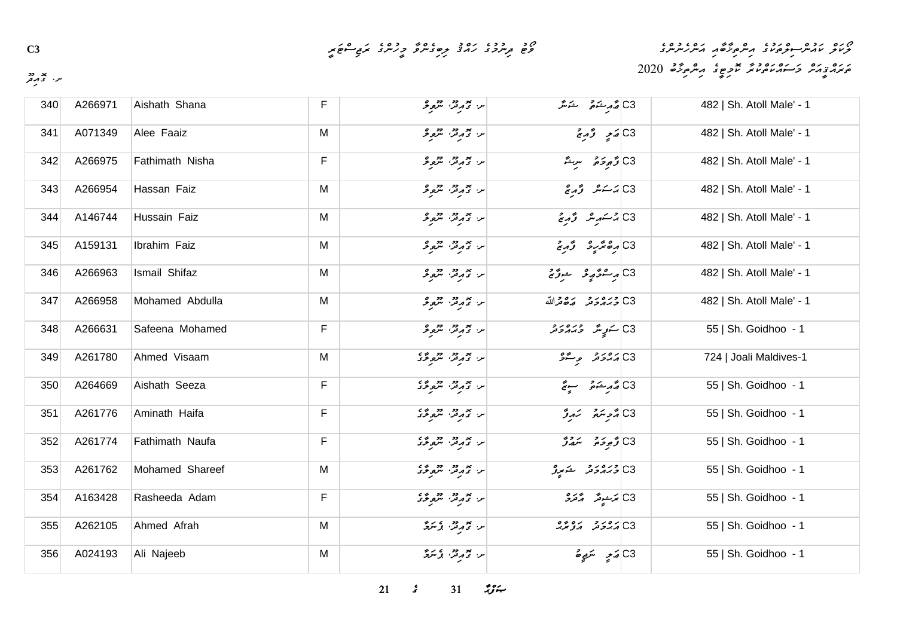*sCw7q7s5w7m< o<n9nOoAw7o< sCq;mAwBoEw7q<m; wBm;vB* م من المرة المرة المرة المرجع المرجع في المركبة 2020<br>مجم*د المريض المربوط المربع المرجع في المراجع المركبة* 

| 340 | A266971 | Aishath Shana   | F           | بر بیرویز، متنفی محمد          | C3 م <i>ەممىشى ھى</i> تىگە                                  | 482   Sh. Atoll Male' - 1 |
|-----|---------|-----------------|-------------|--------------------------------|-------------------------------------------------------------|---------------------------|
| 341 | A071349 | Alee Faaiz      | M           | بر به برقر، مرتبو کل           | $\zeta_{2}$ $\zeta_{2}$ $\zeta_{1}$ $\zeta_{2}$ $\zeta_{3}$ | 482   Sh. Atoll Male' - 1 |
| 342 | A266975 | Fathimath Nisha | $\mathsf F$ | بر نوروژ، شروعه                | C3 تُ <sub>ج</sub> وحَمُ سِنَّۃً                            | 482   Sh. Atoll Male' - 1 |
| 343 | A266954 | Hassan Faiz     | M           | بر نوروژ، شروعه                | C3 ئەسەنلەر ق <sub>ەرى</sub> قى                             | 482   Sh. Atoll Male' - 1 |
| 344 | A146744 | Hussain Faiz    | M           | بر بیرویز، شروعه               | C3 بر <i>شهر مثر و ده ب</i> خ                               | 482   Sh. Atoll Male' - 1 |
| 345 | A159131 | Ibrahim Faiz    | M           | بر بیرویز، شروعه               | C3 مەھە <i>تگى</i> ر ئۇمى                                   | 482   Sh. Atoll Male' - 1 |
| 346 | A266963 | Ismail Shifaz   | M           | من المجموعة المتعرفة المحمد    | C3 م <i>ې</i> شتۇم ئو شو <i>ۋى</i> ج                        | 482   Sh. Atoll Male' - 1 |
| 347 | A266958 | Mohamed Abdulla | M           | بر نوروژ، شروعه                | C3 وَيَرْمُ حَتَّى مَدَّةَ مِّرَاللَّه                      | 482   Sh. Atoll Male' - 1 |
| 348 | A266631 | Safeena Mohamed | $\mathsf F$ | من محمد قرق منزوعه             | C3 س <i>َوِيدُ دُبَهُ دون</i> ر                             | 55   Sh. Goidhoo - 1      |
| 349 | A261780 | Ahmed Visaam    | M           | بر به به ده ان بره بخری        | C3 <i>مُدْدَوْرُ وِسُدْدُ</i>                               | 724   Joali Maldives-1    |
| 350 | A264669 | Aishath Seeza   | $\mathsf F$ | ىر. ئەمەتتى، ئىتموگۇر          | C3 مەم شەمۇر سو <i>م</i> ۇ                                  | 55   Sh. Goidhoo - 1      |
| 351 | A261776 | Aminath Haifa   | F           | بر المعروفي المعرفي            | C3 مُحْرِسَمُ سَمِرَتَّ                                     | 55   Sh. Goidhoo - 1      |
| 352 | A261774 | Fathimath Naufa | $\mathsf F$ | یں تمارش شروعی                 | C3 تُجِ <i>وَدَّة</i> ُ سَم <i>َدْ</i> تُرُ                 | 55   Sh. Goidhoo - 1      |
| 353 | A261762 | Mohamed Shareef | M           | یں تمار پی مرکزی کے دوسرے کا ا | $\frac{2}{3}$ دېم د تر شکورگر $\sim$                        | 55   Sh. Goidhoo - 1      |
| 354 | A163428 | Rasheeda Adam   | $\mathsf F$ | بر به به ده ان بره بخری        | C3 <i>بَرَحْدِیرَ مُرْمَرَّد</i> َ                          | 55   Sh. Goidhoo - 1      |
| 355 | A262105 | Ahmed Afrah     | M           | الراسم ووالمي والكرمج          | C3 <i>محمد حقد مؤتمد</i>                                    | 55   Sh. Goidhoo - 1      |
| 356 | A024193 | Ali Najeeb      | M           | ىر. ئۇرلۇر، بۇيىرگە            | C3 <i>مَنْجِ سَمْعِ</i> رَّةَ                               | 55   Sh. Goidhoo - 1      |

 $21$  *s* 31 *i*<sub>S</sub> $\approx$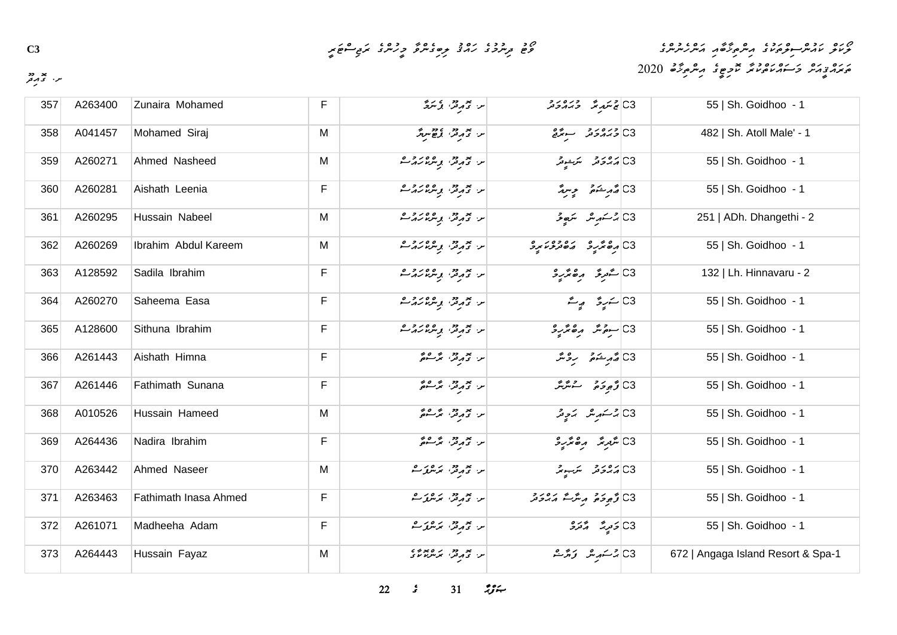*sCw7q7s5w7m< o<n9nOoAw7o< sCq;mAwBoEw7q<m; wBm;vB* م من المرة المرة المرة المرجع المرجع في المركبة 2020<br>مجم*د المريض المربوط المربع المرجع في المراجع المركبة* 

| 357 | A263400 | Zunaira Mohamed       | $\mathsf F$ | الله المحمد فران بوسرتى                                                                              | C3 ىخ <i>مكىرىگە خەنگە</i> دىتە                  | 55   Sh. Goidhoo - 1               |
|-----|---------|-----------------------|-------------|------------------------------------------------------------------------------------------------------|--------------------------------------------------|------------------------------------|
| 358 | A041457 | Mohamed Siraj         | M           | مر مجموعة المحقق مريحة                                                                               | C3 <i>وُبَهُ دو جو سبورة</i>                     | 482   Sh. Atoll Male' - 1          |
| 359 | A260271 | Ahmed Nasheed         | M           | اللاستخار فرهم المحرم والمحرم والمحرم والمحرم والمحرم والمحرم والمحرم والمحرم والمحرم والمحرم والمحر | C3 <i>مُحدَّدة مَنْ</i> حِيقُ                    | 55   Sh. Goidhoo - 1               |
| 360 | A260281 | Aishath Leenia        | $\mathsf F$ | س محمد فرض بور محمد محمد من المحمد المحمد المحمد المحمد المحمد المحمد المحمد المحمد المحمد المحمد ال | C3 مُدِينَة وِسِدُّ                              | 55   Sh. Goidhoo - 1               |
| 361 | A260295 | Hussain Nabeel        | M           | بر بدور و همارو ه                                                                                    | C3 يُرْسَمب <sup>9</sup> سَهِ تَرْ               | 251   ADh. Dhangethi - 2           |
| 362 | A260269 | Ibrahim Abdul Kareem  | M           | بر بيروز ویراندگ                                                                                     | C3 مەھمەر مەمەر مەدىرىدە                         | 55   Sh. Goidhoo - 1               |
| 363 | A128592 | Sadila Ibrahim        | $\mathsf F$ | بر بدور و همارو ه                                                                                    | C3 گورۇ م <i>ەڭرى</i> ۋ                          | 132   Lh. Hinnavaru - 2            |
| 364 | A260270 | Saheema Easa          | $\mathsf F$ | ىر. ئەمەلىر، بويىرىلارمەت                                                                            | C3 سَرِءٌ م <sub>ُ</sub> سِمَّ                   | 55   Sh. Goidhoo - 1               |
| 365 | A128600 | Sithuna Ibrahim       | $\mathsf F$ | اللاستخار فترا وتقرير فلاستكرام                                                                      | C3 سوتىگە مەھ <i>مگرى</i> 3                      | 55   Sh. Goidhoo - 1               |
| 366 | A261443 | Aishath Himna         | $\mathsf F$ | سر بعد دور محرم ده دور<br>  سن المحرم دور المحرم مسلم                                                | C3 م <i>ۇم شۇمۇ بە</i> رگىگە                     | 55   Sh. Goidhoo - 1               |
| 367 | A261446 | Fathimath Sunana      | $\mathsf F$ | س په دور ش هڅه                                                                                       | C3 <i>ۋې<sub>و</sub>خو ش</i> ېرىگە               | 55   Sh. Goidhoo - 1               |
| 368 | A010526 | Hussain Hameed        | M           | یں نمو دو نمرے کا م                                                                                  | C3 يُرْسَمب <sup>9</sup> يُر <sub>ْحِي</sub> قْر | 55   Sh. Goidhoo - 1               |
| 369 | A264436 | Nadira Ibrahim        | $\mathsf F$ | پر دور محرم ده                                                                                       |                                                  | 55   Sh. Goidhoo - 1               |
| 370 | A263442 | Ahmed Naseer          | M           | ىر. ئەمەتر، ئەسرىگ                                                                                   | C3 <i>مەدە</i> مەھقىسىمىسىدىكى                   | 55   Sh. Goidhoo - 1               |
| 371 | A263463 | Fathimath Inasa Ahmed | F           | یں نہیں برعزت                                                                                        | C3 <i>ۋ<sub>ە</sub>دە ئە</i> ئەرەرد              | 55   Sh. Goidhoo - 1               |
| 372 | A261071 | Madheeha Adam         | $\mathsf F$ | یں نہیں برعوث                                                                                        | C3 ك <sup>و</sup> ميدً مُدَّمَدً                 | 55   Sh. Goidhoo - 1               |
| 373 | A264443 | Hussain Fayaz         | M           | س می دو.<br>س د دلمن مرس د د                                                                         | C3 يرتسمبر ترتژ شه                               | 672   Angaga Island Resort & Spa-1 |

 $22$  *s* 31  $23$   $\div$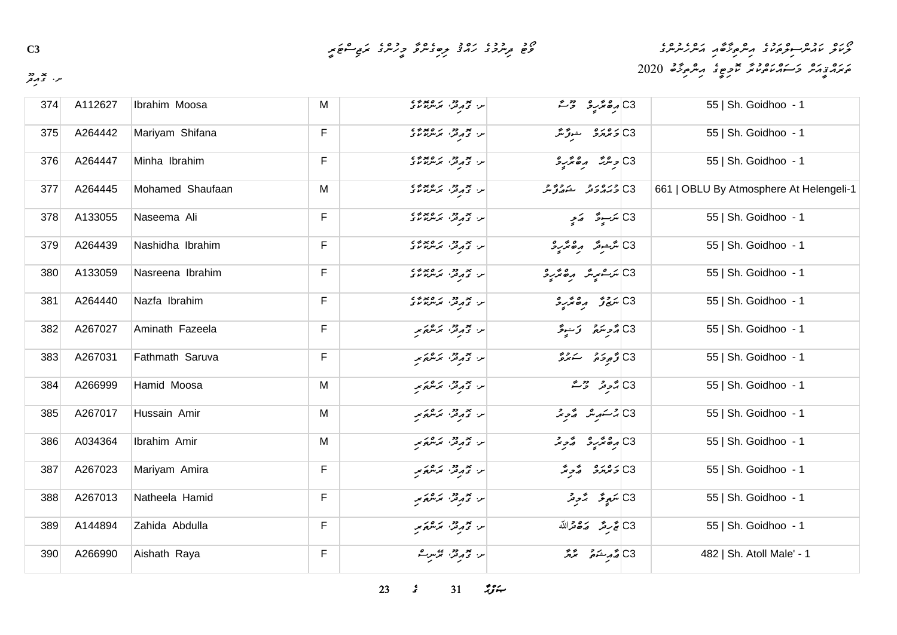*sCw7q7s5w7m< o<n9nOoAw7o< sCq;mAwBoEw7q<m; wBm;vB* م من المرة المرة المرة المرجع المرجع في المركبة 2020<br>مجم*د المريض المربوط المربع المرجع في المراجع المركبة* 

| 374 | A112627 | Ibrahim Moosa    | M            | بر بر دو بر مرده ده<br>بر د مرس بر سرد ده                                       | $\mathcal{L}$ , $\mathcal{L}$ , $\mathcal{L}$ , $\mathcal{L}$ , $\mathcal{L}$ 3                                                                                                                                                                                                                                                                             | 55   Sh. Goidhoo - 1                    |
|-----|---------|------------------|--------------|---------------------------------------------------------------------------------|-------------------------------------------------------------------------------------------------------------------------------------------------------------------------------------------------------------------------------------------------------------------------------------------------------------------------------------------------------------|-----------------------------------------|
| 375 | A264442 | Mariyam Shifana  | F            | بر الدور المراه بداد و د                                                        | C3 <i>خىرىزى</i> ھېر <i>گى</i> گە                                                                                                                                                                                                                                                                                                                           | 55   Sh. Goidhoo - 1                    |
| 376 | A264447 | Minha Ibrahim    | $\mathsf F$  | بر الدور بر مدد دا                                                              | C3 <i>جىنز مەنگى</i> رۇ                                                                                                                                                                                                                                                                                                                                     | 55   Sh. Goidhoo - 1                    |
| 377 | A264445 | Mohamed Shaufaan | M            | بر موجود مردوع و د                                                              | C3 <i>دې ده ده</i> شهرونس                                                                                                                                                                                                                                                                                                                                   | 661   OBLU By Atmosphere At Helengeli-1 |
| 378 | A133055 | Naseema Ali      | $\mathsf F$  | س موجود مرتفع ده د                                                              | C3 بترجو <i>ي <sub>م</sub>يو</i>                                                                                                                                                                                                                                                                                                                            | 55   Sh. Goidhoo - 1                    |
| 379 | A264439 | Nashidha Ibrahim | $\mathsf{F}$ | بر موجود بره مورده                                                              | C3 بىرىسىقى م <i>ەھترى</i> رى                                                                                                                                                                                                                                                                                                                               | 55   Sh. Goidhoo - 1                    |
| 380 | A133059 | Nasreena Ibrahim | $\mathsf F$  | بر مد دو مره بروه                                                               | C3 ىئرىشمېرى <i>گە مەھەتگەي</i> گە                                                                                                                                                                                                                                                                                                                          | 55   Sh. Goidhoo - 1                    |
| 381 | A264440 | Nazfa Ibrahim    | $\mathsf F$  | $\begin{pmatrix} 1 & 1 & 1 & 1 \\ 1 & 1 & 1 & 1 \\ 1 & 1 & 1 & 1 \end{pmatrix}$ | C3 يىنى ئۇ مەھمگە <i>ر</i> ى                                                                                                                                                                                                                                                                                                                                | 55   Sh. Goidhoo - 1                    |
| 382 | A267027 | Aminath Fazeela  | $\mathsf F$  | برا بمردوز بمنهوس                                                               | C3 مٌرِسَمَۃ وَسِرَدَّ                                                                                                                                                                                                                                                                                                                                      | 55   Sh. Goidhoo - 1                    |
| 383 | A267031 | Fathmath Saruva  | $\mathsf F$  | س به دو برنام بر                                                                | $\mathcal{L}$ $\mathcal{L}$ $\mathcal{L}$ $\mathcal{L}$ $\mathcal{L}$ $\mathcal{L}$ $\mathcal{L}$ $\mathcal{L}$ $\mathcal{L}$ $\mathcal{L}$ $\mathcal{L}$ $\mathcal{L}$ $\mathcal{L}$ $\mathcal{L}$ $\mathcal{L}$ $\mathcal{L}$ $\mathcal{L}$ $\mathcal{L}$ $\mathcal{L}$ $\mathcal{L}$ $\mathcal{L}$ $\mathcal{L}$ $\mathcal{L}$ $\mathcal{L}$ $\mathcal{$ | 55   Sh. Goidhoo - 1                    |
| 384 | A266999 | Hamid Moosa      | M            | المزاح والمراجح والمراجع                                                        | C3 بڑ <sub>و</sub> بڑ ڈیٹے                                                                                                                                                                                                                                                                                                                                  | 55   Sh. Goidhoo - 1                    |
| 385 | A267017 | Hussain Amir     | M            | برا بمردوز بمنهوس                                                               | C3 بر <i>کشمیر ش</i> ر میگر                                                                                                                                                                                                                                                                                                                                 | 55   Sh. Goidhoo - 1                    |
| 386 | A034364 | Ibrahim Amir     | M            | س المحروم المرتكزيم                                                             | C3 م <i>ەھترى</i> دى م <i>ەدى</i> ر                                                                                                                                                                                                                                                                                                                         | 55   Sh. Goidhoo - 1                    |
| 387 | A267023 | Mariyam Amira    | F            | بر المحمد فرا المستعدة من                                                       | C3 <i>جىجىرى مۇج</i> ىگە                                                                                                                                                                                                                                                                                                                                    | 55   Sh. Goidhoo - 1                    |
| 388 | A267013 | Natheela Hamid   | $\mathsf F$  | برا بمردد برعيم                                                                 | C3 سَمِوِتَر گ <sub>ُ</sub> رْدِتْرُ                                                                                                                                                                                                                                                                                                                        | 55   Sh. Goidhoo - 1                    |
| 389 | A144894 | Zahida Abdulla   | F            | برا بمردد برعيم                                                                 | C3 تج سِعَّد صَ <b>صَحَ</b> رْاللَّه                                                                                                                                                                                                                                                                                                                        | 55   Sh. Goidhoo - 1                    |
| 390 | A266990 | Aishath Raya     | F            | ىر. ئۇرىق، ئۇسرىسە                                                              | $5.2$ $\frac{2}{3}$ $\frac{2}{3}$ $\frac{2}{3}$ $\frac{2}{3}$ $\frac{2}{3}$                                                                                                                                                                                                                                                                                 | 482   Sh. Atoll Male' - 1               |

 $23$  *s* 31 *if***<sub>i</sub>**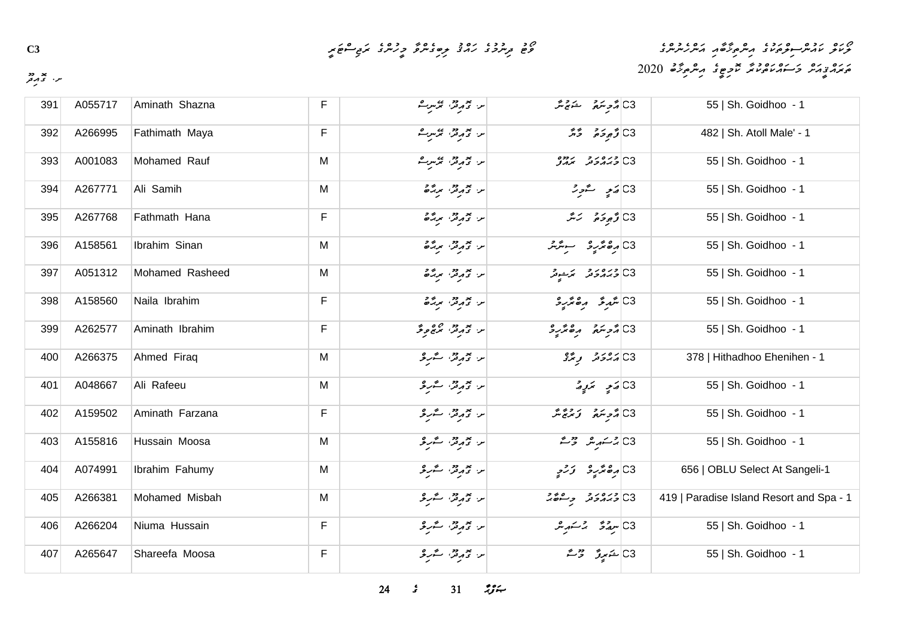*sCw7q7s5w7m< o<n9nOoAw7o< sCq;mAwBoEw7q<m; wBm;vB* م من المرة المرة المرة المرجع المرجع في المركبة 2020<br>مجم*د المريض المربوط المربع المرجع في المراجع المركبة* 

| 391 | A055717 | Aminath Shazna  | F           | ىر، ئۇمەتتر، ئېزىس                  | C3 مُرْحِ مَنْهُمْ مُسْتَوَمِّدٌ                                            | 55   Sh. Goidhoo - 1                     |
|-----|---------|-----------------|-------------|-------------------------------------|-----------------------------------------------------------------------------|------------------------------------------|
| 392 | A266995 | Fathimath Maya  | F           | ىر، ئۇمەتتر، ئېزىس                  | $5.5$ $\frac{2}{5}$ $\frac{2}{5}$ $\frac{2}{5}$ $\frac{2}{5}$ $\frac{2}{5}$ | 482   Sh. Atoll Male' - 1                |
| 393 | A001083 | Mohamed Rauf    | M           | ىن ئەمەتىر، ئۆسرىك                  | C3 32023 C3                                                                 | 55   Sh. Goidhoo - 1                     |
| 394 | A267771 | Ali Samih       | M           | س محمد فرص مرتزحة                   | C3 کړې گور <sup>م</sup>                                                     | 55   Sh. Goidhoo - 1                     |
| 395 | A267768 | Fathmath Hana   | F           | س تورین مردگاه                      | C3 تۇ <sub>جۇ</sub> خۇ ئەنگە                                                | 55   Sh. Goidhoo - 1                     |
| 396 | A158561 | Ibrahim Sinan   | M           | من محمد قرأ مريح ح                  | C3 مەھ <i>مگەي</i> ر ئىسترىتىر                                              | 55   Sh. Goidhoo - 1                     |
| 397 | A051312 | Mohamed Rasheed | M           | ا در محمد قرار مرتز ته              | C3 <i>وُبَدُودُو تَرَ</i> حُومُرُ                                           | 55   Sh. Goidhoo - 1                     |
| 398 | A158560 | Naila Ibrahim   | $\mathsf F$ | س می دوم مردگاه<br>س د اولاد مردگاه | C3 سَمَدِ دَّ مِـ صَمَّدِ دِ                                                | 55   Sh. Goidhoo - 1                     |
| 399 | A262577 | Aminath Ibrahim | F           | بر بورود 29 کوچ                     | C3 مُجِسَعُ مِعْمُدِ وَ                                                     | 55   Sh. Goidhoo - 1                     |
| 400 | A266375 | Ahmed Firaq     | M           | ىر، ئۇمەتتى، سەرىخە                 | C3 <i>مەندى بىر بىر ئى</i> ر                                                | 378   Hithadhoo Ehenihen - 1             |
| 401 | A048667 | Ali Rafeeu      | M           | ىر، ئۇمەتتى، سەرىخە                 | C3 <i>مَرْمٍ مَرْمٍ مُ</i>                                                  | 55   Sh. Goidhoo - 1                     |
| 402 | A159502 | Aminath Farzana | $\mathsf F$ | یں تھرفش گے گئی تھ                  | C3 م <i>ۇجەمۇرى ئەممىتى م</i> ىر                                            | 55   Sh. Goidhoo - 1                     |
| 403 | A155816 | Hussain Moosa   | M           | یں تھریش گے کو                      | C3 برسكوپى <i>گە</i> ج <sup>ەمس</sup> ە                                     | 55   Sh. Goidhoo - 1                     |
| 404 | A074991 | Ibrahim Fahumy  | M           | ىر، ئەمەش، سەربى                    | C3 م <i>وھنگردی وَرُح</i> وِ                                                | 656   OBLU Select At Sangeli-1           |
| 405 | A266381 | Mohamed Misbah  | M           | ىر، ئۇرۇش، سەربى                    | $220 - 222$                                                                 | 419   Paradise Island Resort and Spa - 1 |
| 406 | A266204 | Niuma Hussain   | $\mathsf F$ | ىر ئەمەتق شەرىخ                     | C3 سم <i>م 2 جنم م</i> یر                                                   | 55   Sh. Goidhoo - 1                     |
| 407 | A265647 | Shareefa Moosa  | F           | ىر. ئۇرۇش سەر بۇ                    | C3 خىمپۇ ق <sup>ىم</sup> گ                                                  | 55   Sh. Goidhoo - 1                     |

 $24$  *s* 31  $29$   $\leftarrow$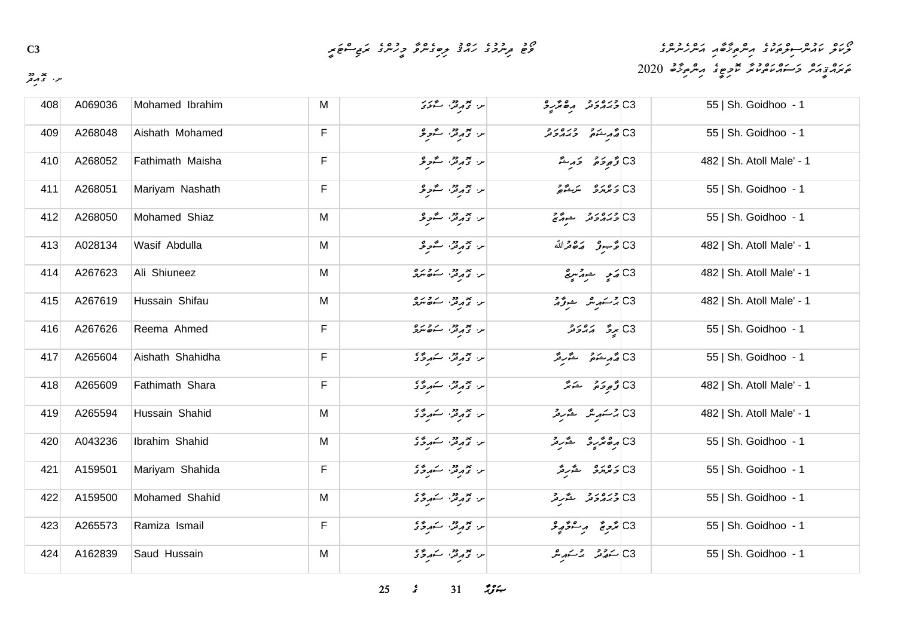*sCw7q7s5w7m< o<n9nOoAw7o< sCq;mAwBoEw7q<m; wBm;vB* م من المرة المرة المرة المرجع المرجع في المركبة 2020<br>مجم*د المريض المربوط المربع المرجع في المراجع المركبة* 

| 408 | A069036 | Mohamed Ibrahim  | M           | من محمد قرأت مستوى      | C3  <i>وبروبر م</i> و <i>مگرد</i> و         | 55   Sh. Goidhoo - 1      |
|-----|---------|------------------|-------------|-------------------------|---------------------------------------------|---------------------------|
| 409 | A268048 | Aishath Mohamed  | F           | پر بیروژ، گرونو         | C3 مەم شەھ <i>دىمەدىر</i>                   | 55   Sh. Goidhoo - 1      |
| 410 | A268052 | Fathimath Maisha | F           | ىر، ئۇمەتتى، سەھرىتى    | C3 <i>وَّجِودَة دَرِ</i> يْدَ               | 482   Sh. Atoll Male' - 1 |
| 411 | A268051 | Mariyam Nashath  | $\mathsf F$ | ىر، ئۇمەتتى، سەھرىتى    | C3 كوجوبرو سرشوقو                           | 55   Sh. Goidhoo - 1      |
| 412 | A268050 | Mohamed Shiaz    | M           | ىر، ئۇمەتتى، سەھرىتى    | $5.3 - 5.8 - 0.3$                           | 55   Sh. Goidhoo - 1      |
| 413 | A028134 | Wasif Abdulla    | M           | ىر، ئۇمەتتى، سەھرىتى    |                                             | 482   Sh. Atoll Male' - 1 |
| 414 | A267623 | Ali Shiuneez     | M           | س بو دو سکھ سرو         | C3 <i>مَنْجِ شِيمَ سِي</i> مَ               | 482   Sh. Atoll Male' - 1 |
| 415 | A267619 | Hussain Shifau   | M           | س مودد روره             | C3 بر <i>شور شور شور شور</i>                | 482   Sh. Atoll Male' - 1 |
| 416 | A267626 | Reema Ahmed      | F           | بر بودود سنصرو          | C3 برِدَّ <i>مَدْدَنْد</i>                  | 55   Sh. Goidhoo - 1      |
| 417 | A265604 | Aishath Shahidha | $\mathsf F$ | یں نوماتی کے دی         | C3 م <i>ەم ھۇم ھۇم</i> مە                   | 55   Sh. Goidhoo - 1      |
| 418 | A265609 | Fathimath Shara  | $\mathsf F$ | یں نوماتی کے دی         | C3 ت <i>وفوڅو ش</i> و <i>نگ</i> ر           | 482   Sh. Atoll Male' - 1 |
| 419 | A265594 | Hussain Shahid   | M           | س بوده شهروی            | C3 يُرْسَمَ مِيْشَ مِسْتَمْرِيْر            | 482   Sh. Atoll Male' - 1 |
| 420 | A043236 | Ibrahim Shahid   | M           | بن توروژ، سکرونخو       | C3 م <i>ەھتىب</i> ۇ ش <i>ەرى</i> ر          | 55   Sh. Goidhoo - 1      |
| 421 | A159501 | Mariyam Shahida  | $\mathsf F$ | س بوده شهروی            | C3 <i>وَ بَرْمَرْدُ</i> شَمَرِ <i>مَرَّ</i> | 55   Sh. Goidhoo - 1      |
| 422 | A159500 | Mohamed Shahid   | M           | یں نوماتی کے دی         | C3 <i>وَبَهُ وَبَنْ</i> مُقَرِيْر           | 55   Sh. Goidhoo - 1      |
| 423 | A265573 | Ramiza Ismail    | $\mathsf F$ | بن المجموحة المستهرة في | C3 بُرْدِيَّ مِ <sup>ر</sup> ْدُوْمِةْ      | 55   Sh. Goidhoo - 1      |
| 424 | A162839 | Saud Hussain     | M           | ىن ئەرقۇ، سەرگەنج       | C3 سى <i>مەقىر</i> برسىمبرىكر               | 55   Sh. Goidhoo - 1      |

 $25$  *s* 31  $25$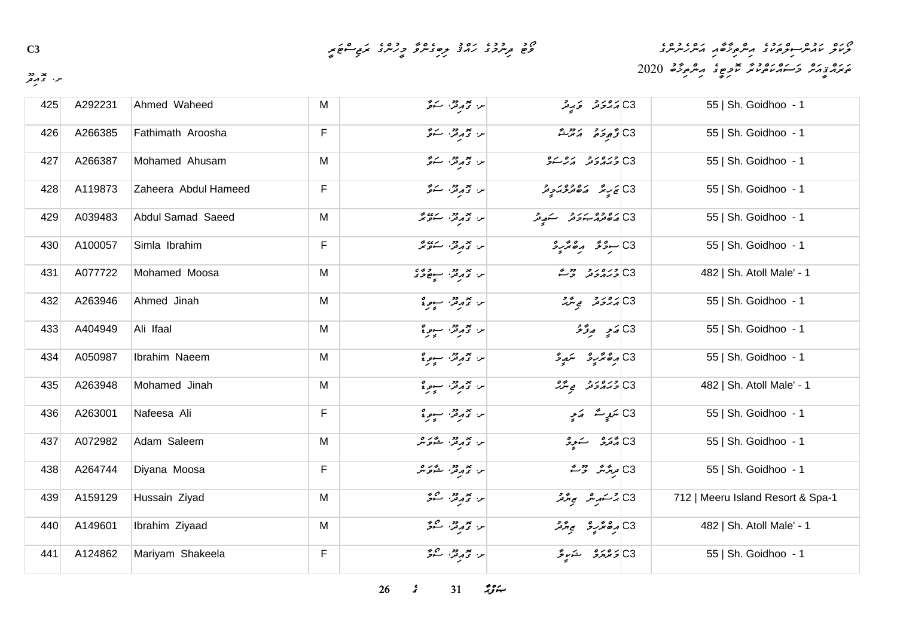*sCw7q7s5w7m< o<n9nOoAw7o< sCq;mAwBoEw7q<m; wBm;vB* م من المرة المرة المرة المرجع المرجع في المركبة 2020<br>مجم*د المريض المربوط المربع المرجع في المراجع المركبة* 

| 425 | A292231 | Ahmed Waheed             | M           | من محمد قرأة السكونج | C3 <i>مَدْدَوْرْ وَبِ</i> يْر                                | 55   Sh. Goidhoo - 1              |
|-----|---------|--------------------------|-------------|----------------------|--------------------------------------------------------------|-----------------------------------|
| 426 | A266385 | Fathimath Aroosha        | F           | ىر. ئەمەتتى، سىنى    | C3 تَ <i>جوحَمَ مَعْرَشَ</i> ّ                               | 55   Sh. Goidhoo - 1              |
| 427 | A266387 | Mohamed Ahusam           | M           | ىر. ئەمەتتى، سىنى    | $5 - 27 - 722$                                               | 55   Sh. Goidhoo - 1              |
| 428 | A119873 | Zaheera Abdul Hameed     | $\mathsf F$ | ىر، ئەمەتتى، سىنى    | C3 ئۈرىگە مەھ <i>ىر ۋىر ج</i> ىر                             | 55   Sh. Goidhoo - 1              |
| 429 | A039483 | <b>Abdul Samad Saeed</b> | M           | س بو دو رے پر        | C3 مەھەرمەدىر سىھەتر                                         | 55   Sh. Goidhoo - 1              |
| 430 | A100057 | Simla Ibrahim            | $\mathsf F$ | س تو دو رونه و       |                                                              | 55   Sh. Goidhoo - 1              |
| 431 | A077722 | Mohamed Moosa            | M           | س مد دو سوح د        |                                                              | 482   Sh. Atoll Male' - 1         |
| 432 | A263946 | Ahmed Jinah              | M           | س تەرقىق سورتى       | C3 <i>مَدْدَوَ مِ</i> مَ <i>دَّ</i>                          | 55   Sh. Goidhoo - 1              |
| 433 | A404949 | Ali Ifaal                | M           | من محمد قرش مسوح کا  | C3 <i>ړې و</i> رڅ                                            | 55   Sh. Goidhoo - 1              |
| 434 | A050987 | Ibrahim Naeem            | M           | یں تحریفی سورہ       | C3 م <i>ِ هُ مُّرِ دُ</i> سَمِي <sup>و</sup> َ               | 55   Sh. Goidhoo - 1              |
| 435 | A263948 | Mohamed Jinah            | M           | س تەرەپى سوھ يا      | $\mathcal{L}$ ج $\mathcal{L}$ جد جرحر می مگرثر $\mathbb{C}3$ | 482   Sh. Atoll Male' - 1         |
| 436 | A263001 | Nafeesa Ali              | F           | یں تھ رقمان سوی کا   | C3 سَمِرِ کے صَمِرِ                                          | 55   Sh. Goidhoo - 1              |
| 437 | A072982 | Adam Saleem              | M           | ىر. ئەمەتتى، ئىشھەش  | C3 يُرتر <sup>و</sup> سَمَوِرْ                               | 55   Sh. Goidhoo - 1              |
| 438 | A264744 | Diyana Moosa             | F           | ىر، ئەمەتتى، ئىشھەش  | C3 مبرمَّرْتَمَّر حَرْسَةً                                   | 55   Sh. Goidhoo - 1              |
| 439 | A159129 | Hussain Ziyad            | M           | مر بوروژ، گروُ       | C3 بر سَمبر مَر سي پر مَرْتَدُ                               | 712   Meeru Island Resort & Spa-1 |
| 440 | A149601 | Ibrahim Ziyaad           | M           | س موقتي ڪرمي         | C3 مەھە <i>تگەي</i> ھەمگىر                                   | 482   Sh. Atoll Male' - 1         |
| 441 | A124862 | Mariyam Shakeela         | F           | ابر بوردو گوی        | C3 ك <i>و چركى ھىمب</i> و گ                                  | 55   Sh. Goidhoo - 1              |

 $26$  *s* 31 *if***<sub>s</sub>**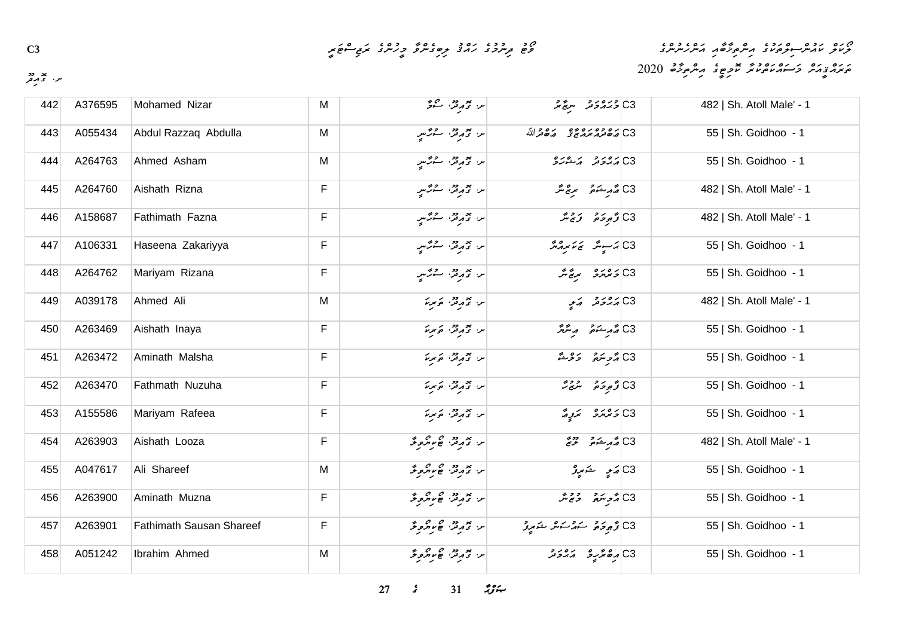*sCw7q7s5w7m< o<n9nOoAw7o< sCq;mAwBoEw7q<m; wBm;vB* م من المرة المرة المرة المرجع المرجع في المركبة 2020<br>مجم*د المريض المربوط المربع المرجع في المراجع المركبة* 

| 442 | A376595 | Mohamed Nizar                   | M           | من محمد قرش مسترقح                                                                                                                                                                                                            | C3 <i>وُبَهُ دو د</i> سِيَّ مُرَ        | 482   Sh. Atoll Male' - 1 |
|-----|---------|---------------------------------|-------------|-------------------------------------------------------------------------------------------------------------------------------------------------------------------------------------------------------------------------------|-----------------------------------------|---------------------------|
| 443 | A055434 | Abdul Razzaq Abdulla            | M           | مز بر بر بر بر بر بر بر بر استر بر بر استر بر بر استر بر بر استر بر بر استر بر بر استر بر بر استر بر استر بر<br>بر استر بر استر بر بر استر بر بر استر بر بر بر استر بر بر بر استر بر بر استر بر بر استر بر استر بر بر استر بر | C3 مەمەمەم مەمىر مەم                    | 55   Sh. Goidhoo - 1      |
| 444 | A264763 | Ahmed Asham                     | M           | مزاح پروژه گرگسی                                                                                                                                                                                                              | C3 <i>مُحدِّدة مُ</i> شْرَدُّ           | 55   Sh. Goidhoo - 1      |
| 445 | A264760 | Aishath Rizna                   | F           | ىر، ئۇرۇش، سەرگىيە                                                                                                                                                                                                            | C3 م <i>ۇم شۇمۇ</i> بىر <i>يى م</i> ىگە | 482   Sh. Atoll Male' - 1 |
| 446 | A158687 | Fathimath Fazna                 | F           | ىر، ئۇمەنتر، سە <i>رگىب</i> ر                                                                                                                                                                                                 | C3 تَ <i>جِعْعَمْ تَیْ</i> مَّرَ        | 482   Sh. Atoll Male' - 1 |
| 447 | A106331 | Haseena Zakariyya               | $\mathsf F$ | یں تحصیل کے شرکتیں                                                                                                                                                                                                            | C3 ئەسپى <i>تى ئاما ئىرمەم</i> گە       | 55   Sh. Goidhoo - 1      |
| 448 | A264762 | Mariyam Rizana                  | F           | مز بر بر بر بر بر مرکز میں<br>  مزاحم بر بر بر استخرابیں                                                                                                                                                                      | C3 <i>خىتىدۇ بىيغ</i> ىگە               | 55   Sh. Goidhoo - 1      |
| 449 | A039178 | Ahmed Ali                       | M           | س مجموفتر) وتجربهٔ                                                                                                                                                                                                            | C3 <i>مُدْدَوْرٌ مَ</i> حٍ              | 482   Sh. Atoll Male' - 1 |
| 450 | A263469 | Aishath Inaya                   | F           | برا مجموقرا وتجرعا                                                                                                                                                                                                            | C3 مەم ئىستىم مەمتىگر                   | 55   Sh. Goidhoo - 1      |
| 451 | A263472 | Aminath Malsha                  | F           | اللاستخار فترسخ بمرتم                                                                                                                                                                                                         | C3 مُجِسَمٌ وَكَرْشٌرُ                  | 55   Sh. Goidhoo - 1      |
| 452 | A263470 | Fathmath Nuzuha                 | F           | اللاستخار فترسخ بمرتم                                                                                                                                                                                                         | C3 تَ <i>مِودَة</i> سَمِيرٌ             | 55   Sh. Goidhoo - 1      |
| 453 | A155586 | Mariyam Rafeea                  | F           | س محمد فرصي کا محرم کا                                                                                                                                                                                                        | C3 <i>خىمىنىڭ ئىرى</i> گە               | 55   Sh. Goidhoo - 1      |
| 454 | A263903 | Aishath Looza                   | F           | س بو دو ھي ھي گھ                                                                                                                                                                                                              |                                         | 482   Sh. Atoll Male' - 1 |
| 455 | A047617 | Ali Shareef                     | M           | من المجموعة المحاملة المرحوفة                                                                                                                                                                                                 | C3 <i>ھَ جِ</i> شَمَيِرُ                | 55   Sh. Goidhoo - 1      |
| 456 | A263900 | Aminath Muzna                   | F           | س نوروز، ھي مرحوف                                                                                                                                                                                                             | C3 مُجِسَعَةِ حَيْمَةَ                  | 55   Sh. Goidhoo - 1      |
| 457 | A263901 | <b>Fathimath Sausan Shareef</b> | F           | من محمد قد من محمد مرضوفة                                                                                                                                                                                                     | C3 <i>ۋ<sub>ە</sub>دە ئەركىشى</i> ھەربۇ | 55   Sh. Goidhoo - 1      |
| 458 | A051242 | Ibrahim Ahmed                   | M           | س تمریز، ځیرمرونځ                                                                                                                                                                                                             | C3 مەھەرىرى مەمەدىر                     | 55   Sh. Goidhoo - 1      |

 $27$  *s* 31  $294$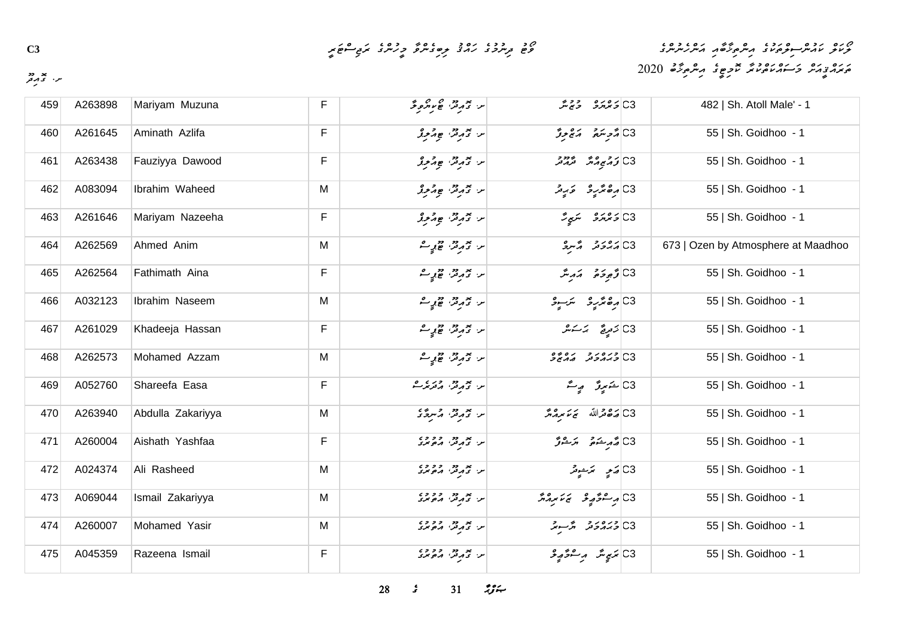*sCw7q7s5w7m< o<n9nOoAw7o< sCq;mAwBoEw7q<m; wBm;vB* م من المرة المرة المرة المرجع المرجع في المركبة 2020<br>مجم*د المريض المربوط المربع المرجع في المراجع المركبة* 

| 459 | A263898 | Mariyam Muzuna    | F            | س نوروز، ھي مركز قر                | C3 كوجر بردي و حج مگر                 | 482   Sh. Atoll Male' - 1           |
|-----|---------|-------------------|--------------|------------------------------------|---------------------------------------|-------------------------------------|
| 460 | A261645 | Aminath Azlifa    | F            | اللاستجمالين جاروفي                | C3 مُتَّحِسَمُ مَعْ مِنَّ             | 55   Sh. Goidhoo - 1                |
| 461 | A263438 | Fauziyya Dawood   | F            | بر بوروم جد مور                    | C3 زَمَّ مِهْ مَعْرَ مِهْ مِهْمَدِ    | 55   Sh. Goidhoo - 1                |
| 462 | A083094 | Ibrahim Waheed    | M            |                                    | C3 م <i>وھنگرد</i> و کرمیٹر           | 55   Sh. Goidhoo - 1                |
| 463 | A261646 | Mariyam Nazeeha   | $\mathsf{F}$ | اللا تمارش جاروفي                  | C3 <i>5 بمبرقى متبي</i> رً            | 55   Sh. Goidhoo - 1                |
| 464 | A262569 | Ahmed Anim        | M            | بر بمردر هريث                      | C3 كەبرى قىر ئەسرى                    | 673   Ozen by Atmosphere at Maadhoo |
| 465 | A262564 | Fathimath Aina    | F            | من محمد فران مع بو ب               | C3 تۇ <sub>جۇ</sub> خۇ مەرىئە         | 55   Sh. Goidhoo - 1                |
| 466 | A032123 | Ibrahim Naseem    | M            | بر بمردر هر ت                      | C3 مەھە <i>ئزى</i> دۇ سىسور           | 55   Sh. Goidhoo - 1                |
| 467 | A261029 | Khadeeja Hassan   | F            | بر نوروژ ھي شر                     | C3 كَتَعْرِيجُ = كَتْتَشْرْ =         | 55   Sh. Goidhoo - 1                |
| 468 | A262573 | Mohamed Azzam     | M            | بر به بردن هریب                    | $5502 - 5222$ C3                      | 55   Sh. Goidhoo - 1                |
| 469 | A052760 | Shareefa Easa     | $\mathsf F$  | بر الدود المردان و المراس          | C3 ڪنڀرڙ ۾ي <sup>گ</sup>              | 55   Sh. Goidhoo - 1                |
| 470 | A263940 | Abdulla Zakariyya | M            | بن بي ده د سرد د                   | C3 مَەھىراللە ئ <i>ے ئەمرەگە</i>      | 55   Sh. Goidhoo - 1                |
| 471 | A260004 | Aishath Yashfaa   | $\mathsf F$  | بر معرود ودود                      | C3 م <i>ەم شىم مرشۇ</i>               | 55   Sh. Goidhoo - 1                |
| 472 | A024374 | Ali Rasheed       | M            | س مو دو وو ده<br>س کامان امام مرد  | C3 كەمچە سىمئىيەتتىر                  | 55   Sh. Goidhoo - 1                |
| 473 | A069044 | Ismail Zakariyya  | M            | بر الموادور ودواري                 | C3 مەسكىۋە بۇ ئەسىمە ئىر              | 55   Sh. Goidhoo - 1                |
| 474 | A260007 | Mohamed Yasir     | M            | بر موجود 1999<br>براس داران المحمد | C3 <i>وَيَدْوَدُو</i> مُرْسِيْرُ      | 55   Sh. Goidhoo - 1                |
| 475 | A045359 | Razeena Ismail    | F            | سامج مردور المتحدي                 | C3 <i>ى</i> تبو <i>سى مەشتۇم</i> و بى | 55   Sh. Goidhoo - 1                |

 $28$  *s* 31 *if***<sub>s</sub>**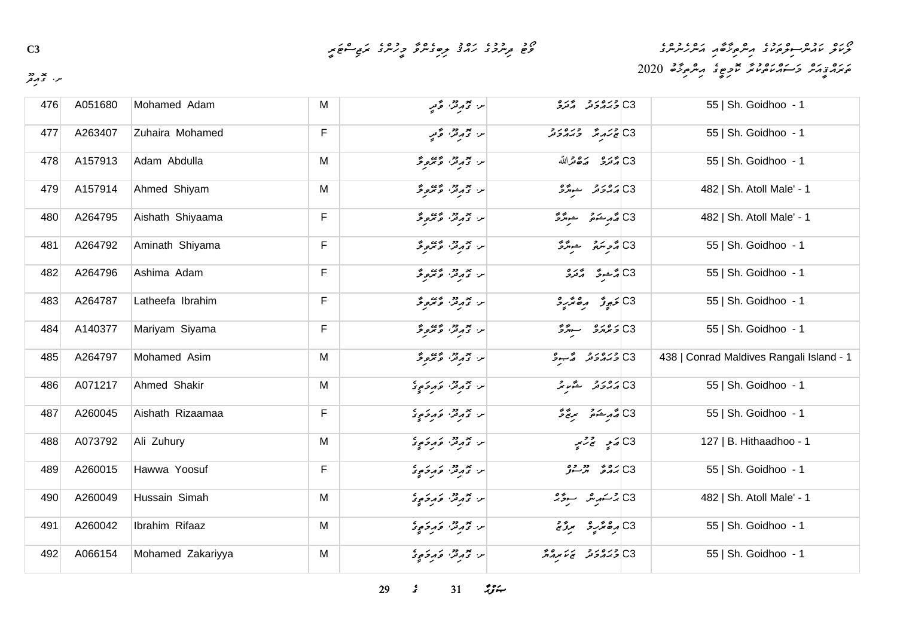*sCw7q7s5w7m< o<n9nOoAw7o< sCq;mAwBoEw7q<m; wBm;vB* م من المرة المرة المرة المرجع المرجع في المركبة 2020<br>مجم*د المريض المربوط المربع المرجع في المراجع المركبة* 

| 476 | A051680 | Mohamed Adam      | M            | ىر: ئۇمەتتى، ھەيي          | C3 32023 وره                                                                                             | 55   Sh. Goidhoo - 1                     |
|-----|---------|-------------------|--------------|----------------------------|----------------------------------------------------------------------------------------------------------|------------------------------------------|
| 477 | A263407 | Zuhaira Mohamed   | F            | ىر: ئۇمەتتى: ھەمپە         | C3 ى <i>ج ئەمەنگە جەمھ</i> ەتمە                                                                          | 55   Sh. Goidhoo - 1                     |
| 478 | A157913 | Adam Abdulla      | M            | ىر. بىر دە. ئەنئى ئى       | C3 مُحَرَّدُ صَصَّحْرَاللَّه                                                                             | 55   Sh. Goidhoo - 1                     |
| 479 | A157914 | Ahmed Shiyam      | M            | ىر. ئەمەس ھەترە بۇ         | $5.525$ $\sim$ $0.3$                                                                                     | 482   Sh. Atoll Male' - 1                |
| 480 | A264795 | Aishath Shiyaama  | $\mathsf{F}$ | ىر بىر دە ئەسىم ئىگە       | $\mathcal{Z}_{\mathcal{A}}^{\mathcal{Z}_{\mathcal{A}}^{\mathcal{Z}_{\mathcal{A}}^{\mathcal{Z}}}}$ $\sim$ | 482   Sh. Atoll Male' - 1                |
| 481 | A264792 | Aminath Shiyama   | $\mathsf F$  | ىر. ئەمەتتى. ھەتتى ھەتتى   | $5\pi$ م مستركز المستركز                                                                                 | 55   Sh. Goidhoo - 1                     |
| 482 | A264796 | Ashima Adam       | $\mathsf F$  | بر بوده پی گرفتگر          | C3 مُّشِوَّ مُحَمَّدَ                                                                                    | 55   Sh. Goidhoo - 1                     |
| 483 | A264787 | Latheefa Ibrahim  | $\mathsf F$  | بر الله دور المصري تحري    | C3 كوب <sub>و</sub> رَ م <i>ەمگرى</i> 3                                                                  | 55   Sh. Goidhoo - 1                     |
| 484 | A140377 | Mariyam Siyama    | $\mathsf{F}$ | ىر. ئەمەس ھەترە بۇ         | $5 - 222$                                                                                                | 55   Sh. Goidhoo - 1                     |
| 485 | A264797 | Mohamed Asim      | M            | ىر بەھرى ھەتبەق            | $3 - 2 - 2 - 3$                                                                                          | 438   Conrad Maldives Rangali Island - 1 |
| 486 | A071217 | Ahmed Shakir      | M            | بن محمد معرض محمد خصى محمد | C3 <i>مكتوفر</i> مقديم                                                                                   | 55   Sh. Goidhoo - 1                     |
| 487 | A260045 | Aishath Rizaamaa  | F            | س محمد فر محمد خرم مح      | $5\overset{?}{\sim}x$ $\overset{?}{\sim}x\overset{?}{\sim}103$                                           | 55   Sh. Goidhoo - 1                     |
| 488 | A073792 | Ali Zuhury        | M            | ر به دو ده کرد کا          | C3 <i>ھَجِ</i> تح <sup>م</sup> ي                                                                         | 127   B. Hithaadhoo - 1                  |
| 489 | A260015 | Hawwa Yoosuf      | $\mathsf{F}$ | س محمد فر محمد خرم مح      | $3 - 3$ $3 - 1$ $03$                                                                                     | 55   Sh. Goidhoo - 1                     |
| 490 | A260049 | Hussain Simah     | M            | ر به دود کرد کود           | C3 يُرْسَمَّهِ مُنْ مُسَوَّيْتُ                                                                          | 482   Sh. Atoll Male' - 1                |
| 491 | A260042 | Ibrahim Rifaaz    | M            | ر به دود کرد کور           | $\mathcal{E}$ مەھەر بوقى بىرى                                                                            | 55   Sh. Goidhoo - 1                     |
| 492 | A066154 | Mohamed Zakariyya | M            |                            | C3 32023 34 AM                                                                                           | 55   Sh. Goidhoo - 1                     |

 $29$  *s* 31  $29$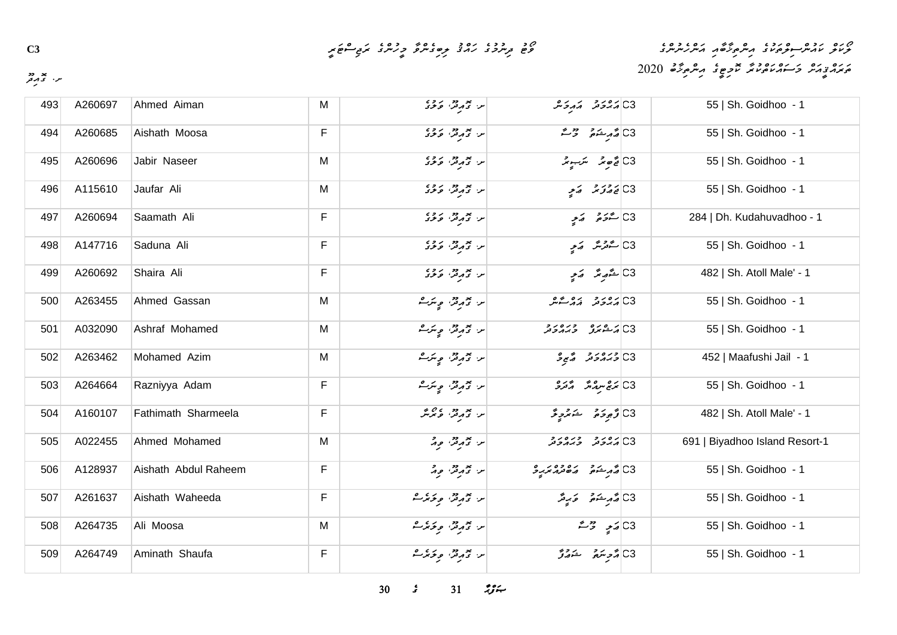*sCw7q7s5w7m< o<n9nOoAw7o< sCq;mAwBoEw7q<m; wBm;vB* م من المرة المرة المرة المرجع المرجع في المركبة 2020<br>مجم*د المريض المربوط المربع المرجع في المراجع المركبة* 

| 493 | A260697 | Ahmed Aiman          | M            | ر به برود و دوه                  | C3   <i>محمد حقر المقرامين</i>                                              | 55   Sh. Goidhoo - 1           |
|-----|---------|----------------------|--------------|----------------------------------|-----------------------------------------------------------------------------|--------------------------------|
| 494 | A260685 | Aishath Moosa        | $\mathsf F$  | ر سودوما المروام                 | $23$ $24.2$                                                                 | 55   Sh. Goidhoo - 1           |
| 495 | A260696 | Jabir Naseer         | M            | ىن ئىم دەپ كەن كە                | C3 قَ <i>عِ جِي مَدَ بِيرْ</i>                                              | 55   Sh. Goidhoo - 1           |
| 496 | A115610 | Jaufar Ali           | M            | بن بورده روه                     | C3 يَح <i>دُوَ بَرْ سَيْ</i>                                                | 55   Sh. Goidhoo - 1           |
| 497 | A260694 | Saamath Ali          | $\mathsf{F}$ | ر سمج دید به دره به              | C3 جَمْحَة صَعِي                                                            | 284   Dh. Kudahuvadhoo - 1     |
| 498 | A147716 | Saduna Ali           | $\mathsf F$  | ر سمج دید به دره به              | C3 گەنىزىتىن ئ <i>ەي</i> ر                                                  | 55   Sh. Goidhoo - 1           |
| 499 | A260692 | Shaira Ali           | $\mathsf F$  | بن می دوم کرد و کا               | C3 ڪ <sub>يم</sub> يٽر <i>مک</i> مير                                        | 482   Sh. Atoll Male' - 1      |
| 500 | A263455 | Ahmed Gassan         | M            | من محمد قرق المح مكرك            | C3 <i>ټرونو ټروگو</i> گ                                                     | 55   Sh. Goidhoo - 1           |
| 501 | A032090 | Ashraf Mohamed       | M            | بر بيورچ پرڪ                     | C3 كەشىر <i>دىمەدىر</i>                                                     | 55   Sh. Goidhoo - 1           |
| 502 | A263462 | Mohamed Azim         | M            | ىر، ئۇرنىڭ موسكەش                | $35.225$ $C3$                                                               | 452   Maafushi Jail - 1        |
| 503 | A264664 | Razniyya Adam        | $\mathsf F$  | برا بمردوثا بريتكو               | $5.3$ $\frac{2}{3}$ $\frac{2}{3}$ $\frac{2}{3}$ $\frac{2}{3}$ $\frac{2}{3}$ | 55   Sh. Goidhoo - 1           |
| 504 | A160107 | Fathimath Sharmeela  | F            | پر برود می برخ                   | C3 <i>وَّەودَە</i> شەمرەتِد                                                 | 482   Sh. Atoll Male' - 1      |
| 505 | A022455 | Ahmed Mohamed        | M            | من محمد قرق عرورٌ                | C3 22012 22010                                                              | 691   Biyadhoo Island Resort-1 |
| 506 | A128937 | Aishath Abdul Raheem | $\mathsf F$  | بر مجموفة، وقم                   | C3 مُمِشْمَعْ مُصْرِمْ مَرْدِدْ                                             | 55   Sh. Goidhoo - 1           |
| 507 | A261637 | Aishath Waheeda      | $\mathsf{F}$ | الراسم وللمجمر والمحافر والمحروث | C3 م <i>ۇم شەق ق بو</i> تگر                                                 | 55   Sh. Goidhoo - 1           |
| 508 | A264735 | Ali Moosa            | M            | ين تحميض وتختر ع                 | $2\frac{3}{5}$ $\approx$ C3                                                 | 55   Sh. Goidhoo - 1           |
| 509 | A264749 | Aminath Shaufa       | F            | الرابح وفرش وتختر م              | C3 مُرْحِسَمُ شَمَ <i>دُنَّ</i>                                             | 55   Sh. Goidhoo - 1           |

**30** *s* **31** *n***<sub>y</sub> <b>***s*